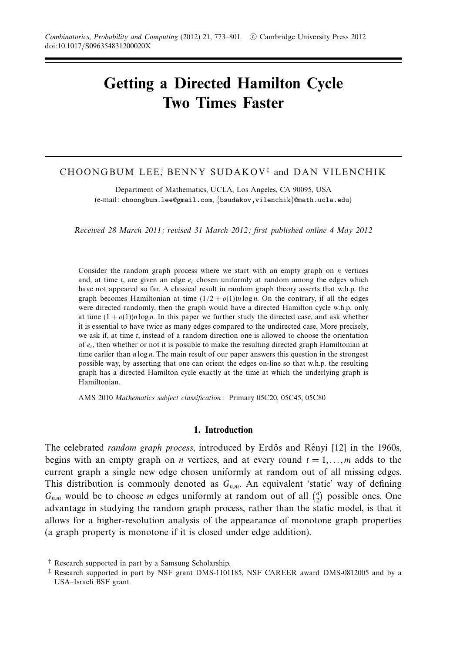# **Getting a Directed Hamilton Cycle Two Times Faster**

# CHOONGBUM LEE! BENNY SUDAKOV‡ and DAN VILENCHIK

Department of Mathematics, UCLA, Los Angeles, CA 90095, USA (e-mail: choongbum.lee@gmail.com, {bsudakov,vilenchik}@math.ucla.edu)

Received 28 March 2011; revised 31 March 2012; first published online 4 May 2012

Consider the random graph process where we start with an empty graph on *n* vertices and, at time  $t$ , are given an edge  $e_t$  chosen uniformly at random among the edges which have not appeared so far. A classical result in random graph theory asserts that w.h.p. the graph becomes Hamiltonian at time  $(1/2 + o(1))n \log n$ . On the contrary, if all the edges were directed randomly, then the graph would have a directed Hamilton cycle w.h.p. only at time  $(1 + o(1))n \log n$ . In this paper we further study the directed case, and ask whether it is essential to have twice as many edges compared to the undirected case. More precisely, we ask if, at time *t*, instead of a random direction one is allowed to choose the orientation of *et*, then whether or not it is possible to make the resulting directed graph Hamiltonian at time earlier than *n* log *n*. The main result of our paper answers this question in the strongest possible way, by asserting that one can orient the edges on-line so that w.h.p. the resulting graph has a directed Hamilton cycle exactly at the time at which the underlying graph is Hamiltonian.

AMS 2010 Mathematics subject classification: Primary 05C20, 05C45, 05C80

#### **1. Introduction**

The celebrated *random graph process*, introduced by Erdős and Rényi [12] in the 1960s, begins with an empty graph on *n* vertices, and at every round  $t = 1, \ldots, m$  adds to the current graph a single new edge chosen uniformly at random out of all missing edges. This distribution is commonly denoted as  $G_{n,m}$ . An equivalent 'static' way of defining  $G_{n,m}$  would be to choose *m* edges uniformly at random out of all  $\binom{n}{2}$  possible ones. One advantage in studying the random graph process, rather than the static model, is that it allows for a higher-resolution analysis of the appearance of monotone graph properties (a graph property is monotone if it is closed under edge addition).

<sup>†</sup> Research supported in part by a Samsung Scholarship.

<sup>‡</sup> Research supported in part by NSF grant DMS-1101185, NSF CAREER award DMS-0812005 and by a USA–Israeli BSF grant.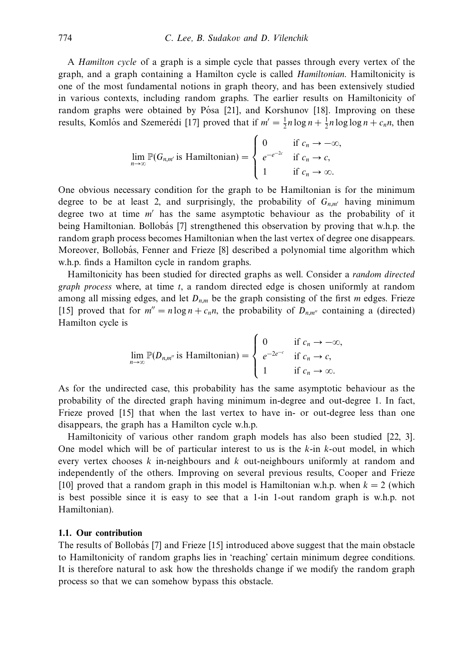A Hamilton cycle of a graph is a simple cycle that passes through every vertex of the graph, and a graph containing a Hamilton cycle is called Hamiltonian. Hamiltonicity is one of the most fundamental notions in graph theory, and has been extensively studied in various contexts, including random graphs. The earlier results on Hamiltonicity of random graphs were obtained by Pósa [21], and Korshunov [18]. Improving on these results, Komlós and Szemerédi [17] proved that if  $m' = \frac{1}{2}n \log n + \frac{1}{2}n \log \log n + c_n n$ , then

$$
\lim_{n \to \infty} \mathbb{P}(G_{n,m'} \text{ is Hamiltonian}) = \begin{cases} 0 & \text{if } c_n \to -\infty, \\ e^{-e^{-2c}} & \text{if } c_n \to c, \\ 1 & \text{if } c_n \to \infty. \end{cases}
$$

One obvious necessary condition for the graph to be Hamiltonian is for the minimum degree to be at least 2, and surprisingly, the probability of  $G_{n,m'}$  having minimum degree two at time m' has the same asymptotic behaviour as the probability of it being Hamiltonian. Bollobás [7] strengthened this observation by proving that w.h.p. the random graph process becomes Hamiltonian when the last vertex of degree one disappears. Moreover, Bollobás, Fenner and Frieze [8] described a polynomial time algorithm which w.h.p. finds a Hamilton cycle in random graphs.

Hamiltonicity has been studied for directed graphs as well. Consider a random directed graph process where, at time *t*, a random directed edge is chosen uniformly at random among all missing edges, and let  $D_{n,m}$  be the graph consisting of the first *m* edges. Frieze [15] proved that for  $m'' = n \log n + c_n n$ , the probability of  $D_{n,m''}$  containing a (directed) Hamilton cycle is

$$
\lim_{n \to \infty} \mathbb{P}(D_{n,m^n} \text{ is Hamiltonian}) = \begin{cases} 0 & \text{if } c_n \to -\infty, \\ e^{-2e^{-c}} & \text{if } c_n \to c, \\ 1 & \text{if } c_n \to \infty. \end{cases}
$$

As for the undirected case, this probability has the same asymptotic behaviour as the probability of the directed graph having minimum in-degree and out-degree 1. In fact, Frieze proved [15] that when the last vertex to have in- or out-degree less than one disappears, the graph has a Hamilton cycle w.h.p.

Hamiltonicity of various other random graph models has also been studied [22, 3]. One model which will be of particular interest to us is the *k*-in *k*-out model, in which every vertex chooses *k* in-neighbours and *k* out-neighbours uniformly at random and independently of the others. Improving on several previous results, Cooper and Frieze [10] proved that a random graph in this model is Hamiltonian w.h.p. when  $k = 2$  (which is best possible since it is easy to see that a 1-in 1-out random graph is w.h.p. not Hamiltonian).

# **1.1. Our contribution**

The results of Bollobás [7] and Frieze [15] introduced above suggest that the main obstacle to Hamiltonicity of random graphs lies in 'reaching' certain minimum degree conditions. It is therefore natural to ask how the thresholds change if we modify the random graph process so that we can somehow bypass this obstacle.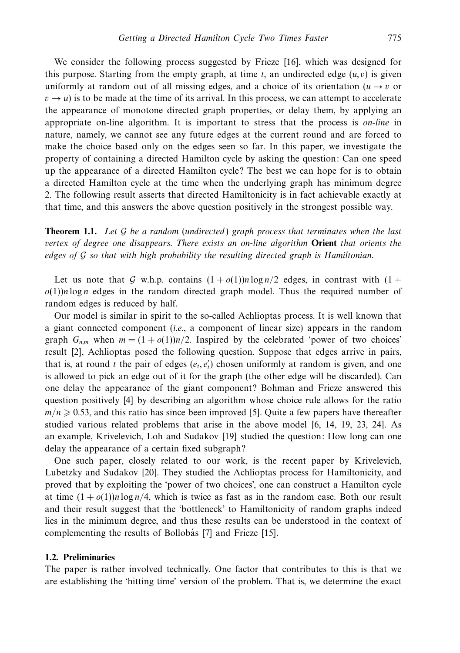We consider the following process suggested by Frieze [16], which was designed for this purpose. Starting from the empty graph, at time  $t$ , an undirected edge  $(u, v)$  is given uniformly at random out of all missing edges, and a choice of its orientation ( $u \rightarrow v$  or  $v \rightarrow u$ ) is to be made at the time of its arrival. In this process, we can attempt to accelerate the appearance of monotone directed graph properties, or delay them, by applying an appropriate on-line algorithm. It is important to stress that the process is on-line in nature, namely, we cannot see any future edges at the current round and are forced to make the choice based only on the edges seen so far. In this paper, we investigate the property of containing a directed Hamilton cycle by asking the question: Can one speed up the appearance of a directed Hamilton cycle? The best we can hope for is to obtain a directed Hamilton cycle at the time when the underlying graph has minimum degree 2. The following result asserts that directed Hamiltonicity is in fact achievable exactly at that time, and this answers the above question positively in the strongest possible way.

**Theorem 1.1.** Let  $\mathcal G$  be a random (undirected) graph process that terminates when the last vertex of degree one disappears. There exists an on-line algorithm **Orient** that orients the edges of G so that with high probability the resulting directed graph is Hamiltonian.

Let us note that G w.h.p. contains  $(1 + o(1))n \log n/2$  edges, in contrast with  $(1 + o(1))n \log n/2$  $o(1)$ )*n* log *n* edges in the random directed graph model. Thus the required number of random edges is reduced by half.

Our model is similar in spirit to the so-called Achlioptas process. It is well known that a giant connected component (i.e., a component of linear size) appears in the random graph  $G_{n,m}$  when  $m = (1 + o(1))n/2$ . Inspired by the celebrated 'power of two choices' result [2], Achlioptas posed the following question. Suppose that edges arrive in pairs, that is, at round *t* the pair of edges  $(e_t, e_t)$  chosen uniformly at random is given, and one is allowed to pick an edge out of it for the graph (the other edge will be discarded). Can one delay the appearance of the giant component? Bohman and Frieze answered this question positively [4] by describing an algorithm whose choice rule allows for the ratio  $m/n \geq 0.53$ , and this ratio has since been improved [5]. Quite a few papers have thereafter studied various related problems that arise in the above model [6, 14, 19, 23, 24]. As an example, Krivelevich, Loh and Sudakov [19] studied the question: How long can one delay the appearance of a certain fixed subgraph?

One such paper, closely related to our work, is the recent paper by Krivelevich, Lubetzky and Sudakov [20]. They studied the Achlioptas process for Hamiltonicity, and proved that by exploiting the 'power of two choices', one can construct a Hamilton cycle at time  $(1 + o(1))n \log n/4$ , which is twice as fast as in the random case. Both our result and their result suggest that the 'bottleneck' to Hamiltonicity of random graphs indeed lies in the minimum degree, and thus these results can be understood in the context of complementing the results of Bollobás [7] and Frieze [15].

# **1.2. Preliminaries**

The paper is rather involved technically. One factor that contributes to this is that we are establishing the 'hitting time' version of the problem. That is, we determine the exact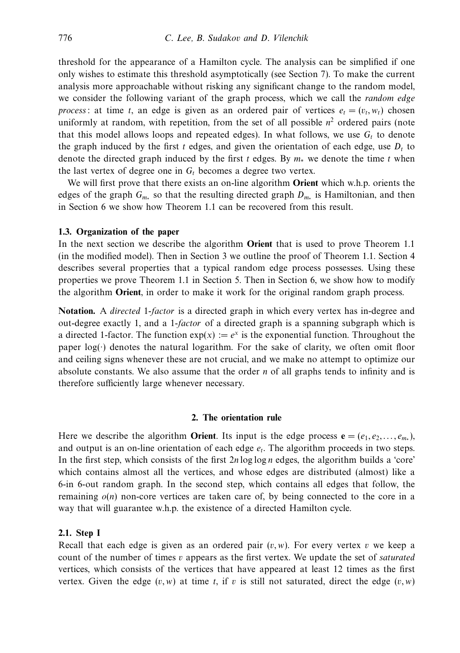threshold for the appearance of a Hamilton cycle. The analysis can be simplified if one only wishes to estimate this threshold asymptotically (see Section 7). To make the current analysis more approachable without risking any significant change to the random model, we consider the following variant of the graph process, which we call the *random edge* process: at time *t*, an edge is given as an ordered pair of vertices  $e_t = (v_t, w_t)$  chosen uniformly at random, with repetition, from the set of all possible  $n<sup>2</sup>$  ordered pairs (note that this model allows loops and repeated edges). In what follows, we use  $G_t$  to denote the graph induced by the first  $t$  edges, and given the orientation of each edge, use  $D_t$  to denote the directed graph induced by the first *t* edges. By *m*<sup>∗</sup> we denote the time *t* when the last vertex of degree one in  $G_t$  becomes a degree two vertex.

We will first prove that there exists an on-line algorithm **Orient** which w.h.p. orients the edges of the graph *Gm*<sup>∗</sup> so that the resulting directed graph *Dm*<sup>∗</sup> is Hamiltonian, and then in Section 6 we show how Theorem 1.1 can be recovered from this result.

## **1.3. Organization of the paper**

In the next section we describe the algorithm **Orient** that is used to prove Theorem 1.1 (in the modified model). Then in Section 3 we outline the proof of Theorem 1.1. Section 4 describes several properties that a typical random edge process possesses. Using these properties we prove Theorem 1.1 in Section 5. Then in Section 6, we show how to modify the algorithm **Orient**, in order to make it work for the original random graph process.

**Notation.** A directed 1-factor is a directed graph in which every vertex has in-degree and out-degree exactly 1, and a 1-factor of a directed graph is a spanning subgraph which is a directed 1-factor. The function  $exp(x) := e^x$  is the exponential function. Throughout the paper  $log(\cdot)$  denotes the natural logarithm. For the sake of clarity, we often omit floor and ceiling signs whenever these are not crucial, and we make no attempt to optimize our absolute constants. We also assume that the order *n* of all graphs tends to infinity and is therefore sufficiently large whenever necessary.

#### **2. The orientation rule**

Here we describe the algorithm **Orient**. Its input is the edge process  $\mathbf{e} = (e_1, e_2, \dots, e_{m*})$ , and output is an on-line orientation of each edge  $e_t$ . The algorithm proceeds in two steps. In the first step, which consists of the first 2*n* log log *n* edges, the algorithm builds a 'core' which contains almost all the vertices, and whose edges are distributed (almost) like a 6-in 6-out random graph. In the second step, which contains all edges that follow, the remaining  $o(n)$  non-core vertices are taken care of, by being connected to the core in a way that will guarantee w.h.p. the existence of a directed Hamilton cycle.

#### **2.1. Step I**

Recall that each edge is given as an ordered pair  $(v, w)$ . For every vertex  $v$  we keep a count of the number of times *v* appears as the first vertex. We update the set of *saturated* vertices, which consists of the vertices that have appeared at least 12 times as the first vertex. Given the edge  $(v, w)$  at time *t*, if *v* is still not saturated, direct the edge  $(v, w)$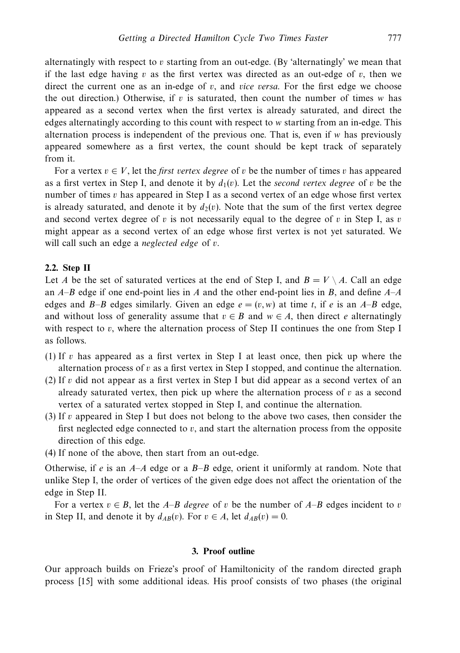alternatingly with respect to *v* starting from an out-edge. (By 'alternatingly' we mean that if the last edge having  $v$  as the first vertex was directed as an out-edge of  $v$ , then we direct the current one as an in-edge of  $v$ , and *vice versa*. For the first edge we choose the out direction.) Otherwise, if *v* is saturated, then count the number of times *w* has appeared as a second vertex when the first vertex is already saturated, and direct the edges alternatingly according to this count with respect to *w* starting from an in-edge. This alternation process is independent of the previous one. That is, even if *w* has previously appeared somewhere as a first vertex, the count should be kept track of separately from it.

For a vertex  $v \in V$ , let the *first vertex degree* of *v* be the number of times *v* has appeared as a first vertex in Step I, and denote it by  $d_1(v)$ . Let the *second vertex degree* of v be the number of times *v* has appeared in Step I as a second vertex of an edge whose first vertex is already saturated, and denote it by  $d_2(v)$ . Note that the sum of the first vertex degree and second vertex degree of *v* is not necessarily equal to the degree of *v* in Step I, as *v* might appear as a second vertex of an edge whose first vertex is not yet saturated. We will call such an edge a neglected edge of *v*.

#### **2.2. Step II**

Let *A* be the set of saturated vertices at the end of Step I, and  $B = V \setminus A$ . Call an edge an *A*–*B* edge if one end-point lies in *A* and the other end-point lies in *B*, and define *A*–*A* edges and *B*–*B* edges similarly. Given an edge  $e = (v, w)$  at time *t*, if *e* is an *A*–*B* edge, and without loss of generality assume that  $v \in B$  and  $w \in A$ , then direct *e* alternatingly with respect to *v*, where the alternation process of Step II continues the one from Step I as follows.

- (1) If *v* has appeared as a first vertex in Step I at least once, then pick up where the alternation process of *v* as a first vertex in Step I stopped, and continue the alternation.
- (2) If *v* did not appear as a first vertex in Step I but did appear as a second vertex of an already saturated vertex, then pick up where the alternation process of *v* as a second vertex of a saturated vertex stopped in Step I, and continue the alternation.
- (3) If *v* appeared in Step I but does not belong to the above two cases, then consider the first neglected edge connected to  $v$ , and start the alternation process from the opposite direction of this edge.
- (4) If none of the above, then start from an out-edge.

Otherwise, if *e* is an *A*–*A* edge or a *B*–*B* edge, orient it uniformly at random. Note that unlike Step I, the order of vertices of the given edge does not affect the orientation of the edge in Step II.

For a vertex  $v \in B$ , let the *A–B* degree of *v* be the number of *A–B* edges incident to *v* in Step II, and denote it by  $d_{AB}(v)$ . For  $v \in A$ , let  $d_{AB}(v) = 0$ .

#### **3. Proof outline**

Our approach builds on Frieze's proof of Hamiltonicity of the random directed graph process [15] with some additional ideas. His proof consists of two phases (the original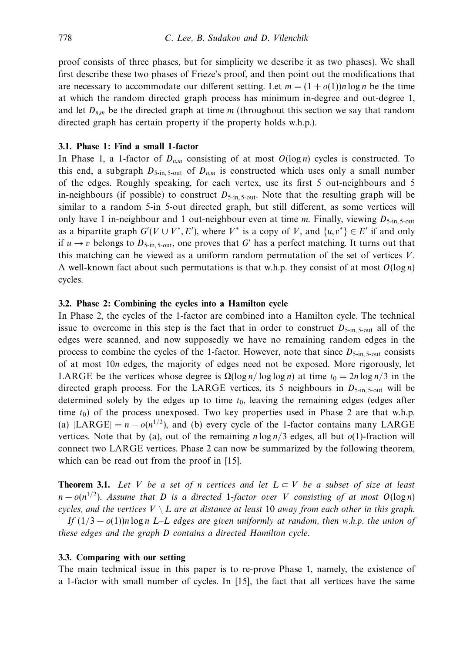proof consists of three phases, but for simplicity we describe it as two phases). We shall first describe these two phases of Frieze's proof, and then point out the modifications that are necessary to accommodate our different setting. Let  $m = (1 + o(1))n \log n$  be the time at which the random directed graph process has minimum in-degree and out-degree 1, and let *Dn,m* be the directed graph at time *m* (throughout this section we say that random directed graph has certain property if the property holds w.h.p.).

## **3.1. Phase 1: Find a small 1-factor**

In Phase 1, a 1-factor of  $D_{n,m}$  consisting of at most  $O(\log n)$  cycles is constructed. To this end, a subgraph  $D_{5\text{-in},5\text{-out}}$  of  $D_{n,m}$  is constructed which uses only a small number of the edges. Roughly speaking, for each vertex, use its first 5 out-neighbours and 5 in-neighbours (if possible) to construct  $D_{5\text{-in}, 5\text{-out}}$ . Note that the resulting graph will be similar to a random 5-in 5-out directed graph, but still different, as some vertices will only have 1 in-neighbour and 1 out-neighbour even at time *m*. Finally, viewing *D*5-in, 5-out as a bipartite graph  $G'(V \cup V^*, E')$ , where  $V^*$  is a copy of *V*, and  $\{u, v^*\} \in E'$  if and only if  $u \rightarrow v$  belongs to  $D_{5\text{-in}, 5\text{-out}}$ , one proves that *G*<sup> $\prime$ </sup> has a perfect matching. It turns out that this matching can be viewed as a uniform random permutation of the set of vertices *V*. A well-known fact about such permutations is that w.h.p. they consist of at most *O*(log *n*) cycles.

# **3.2. Phase 2: Combining the cycles into a Hamilton cycle**

In Phase 2, the cycles of the 1-factor are combined into a Hamilton cycle. The technical issue to overcome in this step is the fact that in order to construct  $D_{5\text{-in}, 5\text{-out}}$  all of the edges were scanned, and now supposedly we have no remaining random edges in the process to combine the cycles of the 1-factor. However, note that since  $D_{5\text{-in}}$ ,  $_{5\text{-out}}$  consists of at most 10*n* edges, the majority of edges need not be exposed. More rigorously, let LARGE be the vertices whose degree is  $\Omega(\log n / \log \log n)$  at time  $t_0 = 2n \log n/3$  in the directed graph process. For the LARGE vertices, its 5 neighbours in  $D_{5\text{-in}, 5\text{-out}}$  will be determined solely by the edges up to time  $t<sub>0</sub>$ , leaving the remaining edges (edges after time  $t_0$ ) of the process unexposed. Two key properties used in Phase 2 are that w.h.p. (a)  $|LARGE| = n - o(n^{1/2})$ , and (b) every cycle of the 1-factor contains many LARGE vertices. Note that by (a), out of the remaining *n* log *n/*3 edges, all but *o*(1)-fraction will connect two LARGE vertices. Phase 2 can now be summarized by the following theorem, which can be read out from the proof in [15].

**Theorem 3.1.** Let *V* be a set of *n* vertices and let  $L \subset V$  be a subset of size at least  $n - o(n^{1/2})$ . Assume that *D* is a directed 1-factor over *V* consisting of at most  $O(\log n)$ cycles, and the vertices  $V \setminus L$  are at distance at least 10 away from each other in this graph.

If  $(1/3 - o(1))n \log n$  *L–L* edges are given uniformly at random, then w.h.p. the union of these edges and the graph *D* contains a directed Hamilton cycle.

# **3.3. Comparing with our setting**

The main technical issue in this paper is to re-prove Phase 1, namely, the existence of a 1-factor with small number of cycles. In [15], the fact that all vertices have the same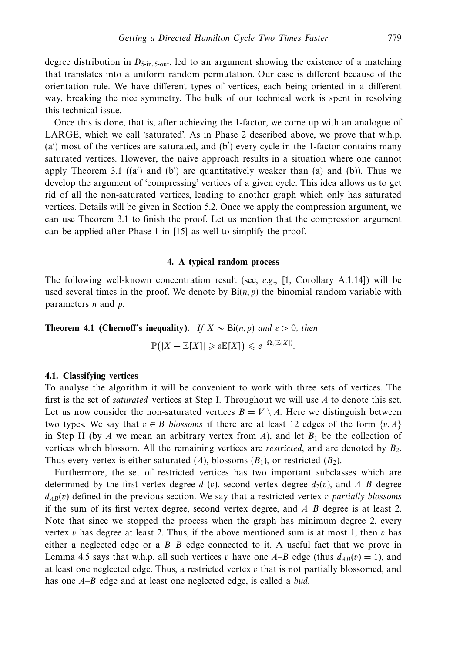degree distribution in  $D_{5\text{-in}}$ ,  $_{5\text{-out}}$ , led to an argument showing the existence of a matching that translates into a uniform random permutation. Our case is different because of the orientation rule. We have different types of vertices, each being oriented in a different way, breaking the nice symmetry. The bulk of our technical work is spent in resolving this technical issue.

Once this is done, that is, after achieving the 1-factor, we come up with an analogue of LARGE, which we call 'saturated'. As in Phase 2 described above, we prove that w.h.p.  $(a')$  most of the vertices are saturated, and  $(b')$  every cycle in the 1-factor contains many saturated vertices. However, the naive approach results in a situation where one cannot apply Theorem 3.1  $((a')$  and  $(b')$  are quantitatively weaker than  $(a)$  and  $(b)$ ). Thus we develop the argument of 'compressing' vertices of a given cycle. This idea allows us to get rid of all the non-saturated vertices, leading to another graph which only has saturated vertices. Details will be given in Section 5.2. Once we apply the compression argument, we can use Theorem 3.1 to finish the proof. Let us mention that the compression argument can be applied after Phase 1 in [15] as well to simplify the proof.

# **4. A typical random process**

The following well-known concentration result (see, e.g.,  $[1,$  Corollary A.1.14]) will be used several times in the proof. We denote by  $\text{Bi}(n, p)$  the binomial random variable with parameters *n* and *p*.

**Theorem 4.1 (Chernoff's inequality).** If  $X \sim \text{Bi}(n, p)$  and  $\varepsilon > 0$ , then

 $\mathbb{P}\big(|X-\mathbb{E}[X]| \geqslant \varepsilon \mathbb{E}[X]\big) \leqslant e^{-\Omega_{\varepsilon}(\mathbb{E}[X])}.$ 

#### **4.1. Classifying vertices**

To analyse the algorithm it will be convenient to work with three sets of vertices. The first is the set of saturated vertices at Step I. Throughout we will use *A* to denote this set. Let us now consider the non-saturated vertices  $B = V \setminus A$ . Here we distinguish between two types. We say that  $v \in B$  blossoms if there are at least 12 edges of the form  $\{v, A\}$ in Step II (by  $A$  we mean an arbitrary vertex from  $A$ ), and let  $B_1$  be the collection of vertices which blossom. All the remaining vertices are restricted, and are denoted by *B*2. Thus every vertex is either saturated  $(A)$ , blossoms  $(B_1)$ , or restricted  $(B_2)$ .

Furthermore, the set of restricted vertices has two important subclasses which are determined by the first vertex degree  $d_1(v)$ , second vertex degree  $d_2(v)$ , and  $A-B$  degree  $d_{AB}(v)$  defined in the previous section. We say that a restricted vertex *v* partially blossoms if the sum of its first vertex degree, second vertex degree, and *A*–*B* degree is at least 2. Note that since we stopped the process when the graph has minimum degree 2, every vertex *v* has degree at least 2. Thus, if the above mentioned sum is at most 1, then *v* has either a neglected edge or a *B*–*B* edge connected to it. A useful fact that we prove in Lemma 4.5 says that w.h.p. all such vertices *v* have one  $A-B$  edge (thus  $d_{AB}(v) = 1$ ), and at least one neglected edge. Thus, a restricted vertex  $v$  that is not partially blossomed, and has one *A*–*B* edge and at least one neglected edge, is called a bud.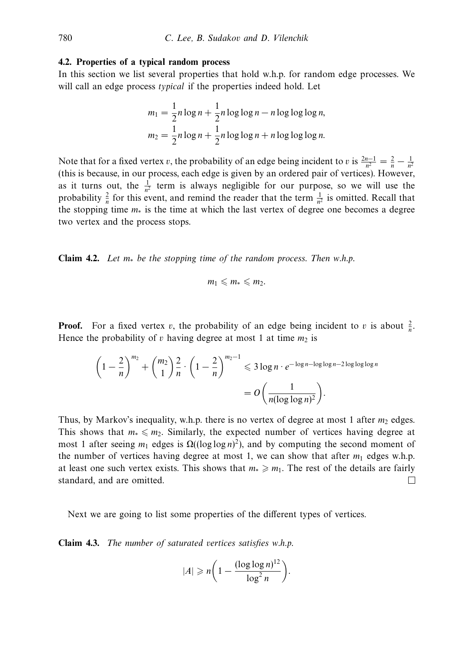#### **4.2. Properties of a typical random process**

In this section we list several properties that hold w.h.p. for random edge processes. We will call an edge process *typical* if the properties indeed hold. Let

$$
m_1 = \frac{1}{2}n \log n + \frac{1}{2}n \log \log n - n \log \log \log n,
$$
  

$$
m_2 = \frac{1}{2}n \log n + \frac{1}{2}n \log \log n + n \log \log \log n.
$$

Note that for a fixed vertex *v*, the probability of an edge being incident to *v* is  $\frac{2n-1}{n^2} = \frac{2}{n} - \frac{1}{n^2}$ (this is because, in our process, each edge is given by an ordered pair of vertices). However, as it turns out, the  $\frac{1}{n^2}$  term is always negligible for our purpose, so we will use the probability  $\frac{2}{n}$  for this event, and remind the reader that the term  $\frac{1}{n^2}$  is omitted. Recall that the stopping time *m*<sup>∗</sup> is the time at which the last vertex of degree one becomes a degree two vertex and the process stops.

**Claim 4.2.** Let *m*<sup>∗</sup> be the stopping time of the random process. Then w.h.p.

$$
m_1\leqslant m_*\leqslant m_2.
$$

**Proof.** For a fixed vertex *v*, the probability of an edge being incident to *v* is about  $\frac{2}{n}$ . Hence the probability of  $v$  having degree at most 1 at time  $m_2$  is

$$
\left(1-\frac{2}{n}\right)^{m_2} + {m_2 \choose 1} \frac{2}{n} \cdot \left(1-\frac{2}{n}\right)^{m_2-1} \leqslant 3 \log n \cdot e^{-\log n - \log \log n - 2 \log \log \log n}
$$

$$
= O\left(\frac{1}{n(\log \log n)^2}\right).
$$

Thus, by Markov's inequality, w.h.p. there is no vertex of degree at most 1 after  $m_2$  edges. This shows that  $m_* \leq m_2$ . Similarly, the expected number of vertices having degree at most 1 after seeing  $m_1$  edges is  $\Omega((\log \log n)^2)$ , and by computing the second moment of the number of vertices having degree at most 1, we can show that after  $m_1$  edges w.h.p. at least one such vertex exists. This shows that  $m_* \geq m_1$ . The rest of the details are fairly standard, and are omitted.  $\Box$ 

Next we are going to list some properties of the different types of vertices.

**Claim 4.3.** The number of saturated vertices satisfies w.h.p.

$$
|A| \geqslant n \bigg(1 - \frac{(\log \log n)^{12}}{\log^2 n}\bigg).
$$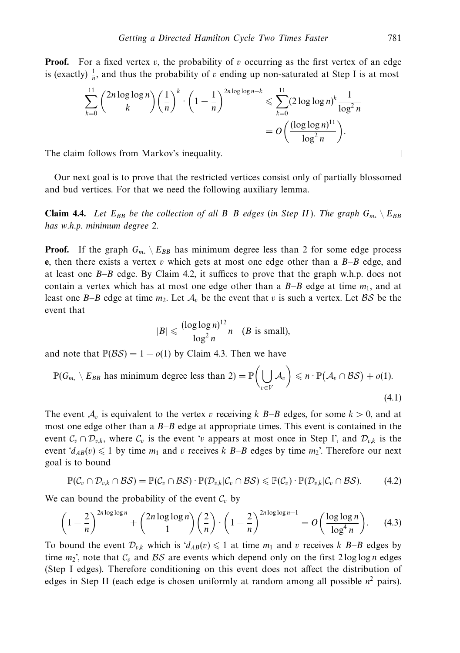**Proof.** For a fixed vertex  $v$ , the probability of  $v$  occurring as the first vertex of an edge is (exactly)  $\frac{1}{n}$ , and thus the probability of *v* ending up non-saturated at Step I is at most

$$
\sum_{k=0}^{11} {2n \log \log n \choose k} \left(\frac{1}{n}\right)^k \cdot \left(1 - \frac{1}{n}\right)^{2n \log \log n - k} \le \sum_{k=0}^{11} (2 \log \log n)^k \frac{1}{\log^2 n}
$$

$$
= O\left(\frac{(\log \log n)^{11}}{\log^2 n}\right).
$$
follows from Markov's inequality.

The claim follows from Markov's inequality.

Our next goal is to prove that the restricted vertices consist only of partially blossomed and bud vertices. For that we need the following auxiliary lemma.

**Claim 4.4.** Let  $E_{BB}$  be the collection of all *B–B* edges (in Step II). The graph  $G_{m} \setminus E_{BB}$ has w.h.p. minimum degree 2.

**Proof.** If the graph  $G_{m*} \nightharpoonup E_{BB}$  has minimum degree less than 2 for some edge process **e**, then there exists a vertex *v* which gets at most one edge other than a *B*–*B* edge, and at least one *B*–*B* edge. By Claim 4.2, it suffices to prove that the graph w.h.p. does not contain a vertex which has at most one edge other than a  $B-B$  edge at time  $m_1$ , and at least one *B–B* edge at time  $m_2$ . Let  $A_v$  be the event that v is such a vertex. Let BS be the event that

$$
|B| \leqslant \frac{(\log \log n)^{12}}{\log^2 n} n \quad (B \text{ is small}),
$$

and note that  $\mathbb{P}(BS) = 1 - o(1)$  by Claim 4.3. Then we have

$$
\mathbb{P}(G_{m_*} \setminus E_{BB} \text{ has minimum degree less than } 2) = \mathbb{P}\left(\bigcup_{v \in V} \mathcal{A}_v\right) \leq n \cdot \mathbb{P}(\mathcal{A}_v \cap \mathcal{BS}) + o(1).
$$
\n(4.1)

The event  $A_v$  is equivalent to the vertex *v* receiving *k*  $B$ –*B* edges, for some  $k > 0$ , and at most one edge other than a *B*–*B* edge at appropriate times. This event is contained in the event  $C_v \cap \mathcal{D}_{v,k}$ , where  $C_v$  is the event '*v* appears at most once in Step I', and  $\mathcal{D}_{v,k}$  is the event  $d_{AB}(v) \leq 1$  by time  $m_1$  and  $v$  receives  $k$  B–B edges by time  $m_2$ '. Therefore our next goal is to bound

$$
\mathbb{P}(\mathcal{C}_v \cap \mathcal{D}_{v,k} \cap \mathcal{BS}) = \mathbb{P}(\mathcal{C}_v \cap \mathcal{BS}) \cdot \mathbb{P}(\mathcal{D}_{v,k}|\mathcal{C}_v \cap \mathcal{BS}) \leq \mathbb{P}(\mathcal{C}_v) \cdot \mathbb{P}(\mathcal{D}_{v,k}|\mathcal{C}_v \cap \mathcal{BS}).
$$
 (4.2)

We can bound the probability of the event  $\mathcal{C}_v$  by

$$
\left(1 - \frac{2}{n}\right)^{2n \log \log n} + {2n \log \log n \choose 1} \left(\frac{2}{n}\right) \cdot \left(1 - \frac{2}{n}\right)^{2n \log \log n - 1} = O\left(\frac{\log \log n}{\log^4 n}\right). \tag{4.3}
$$

To bound the event  $\mathcal{D}_{v,k}$  which is  $d_{AB}(v) \leq 1$  at time  $m_1$  and  $v$  receives  $k$   $B-B$  edges by time  $m_2$ <sup>'</sup>, note that  $C_v$  and BS are events which depend only on the first 2 log log *n* edges (Step I edges). Therefore conditioning on this event does not affect the distribution of edges in Step II (each edge is chosen uniformly at random among all possible  $n^2$  pairs).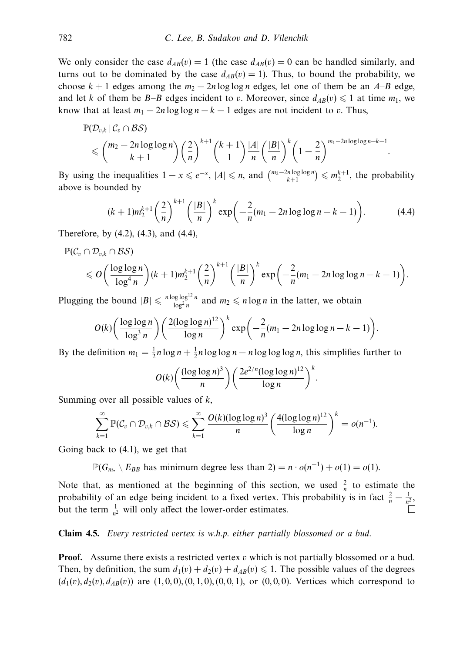We only consider the case  $d_{AB}(v) = 1$  (the case  $d_{AB}(v) = 0$  can be handled similarly, and turns out to be dominated by the case  $d_{AB}(v) = 1$ ). Thus, to bound the probability, we choose  $k + 1$  edges among the  $m_2 - 2n \log \log n$  edges, let one of them be an  $A - B$  edge, and let *k* of them be *B*–*B* edges incident to *v*. Moreover, since  $d_{AB}(v) \leq 1$  at time  $m_1$ , we know that at least  $m_1 - 2n \log \log n - k - 1$  edges are not incident to *v*. Thus,

$$
\mathbb{P}(\mathcal{D}_{v,k} | C_v \cap \mathcal{BS}) \leq \binom{m_2-2n\log\log n}{k+1} \left(\frac{2}{n}\right)^{k+1} \binom{k+1}{1} \frac{|A|}{n} \left(\frac{|B|}{n}\right)^k \left(1-\frac{2}{n}\right)^{m_1-2n\log\log n-k-1}.
$$

By using the inequalities  $1 - x \le e^{-x}$ ,  $|A| \le n$ , and  $\binom{m_2-2n\log\log n}{k+1} \le m_2^{k+1}$ , the probability above is bounded by

$$
(k+1)m_2^{k+1} \left(\frac{2}{n}\right)^{k+1} \left(\frac{|B|}{n}\right)^k \exp\left(-\frac{2}{n}(m_1 - 2n\log\log n - k - 1)\right).
$$
 (4.4)

Therefore, by (4.2), (4.3), and (4.4),

$$
\mathbb{P}(\mathcal{C}_v \cap \mathcal{D}_{v,k} \cap \mathcal{BS})
$$

$$
\leqslant O\bigg(\frac{\log\log n}{\log^4 n}\bigg)(k+1)m_2^{k+1}\bigg(\frac{2}{n}\bigg)^{k+1}\bigg(\frac{|B|}{n}\bigg)^k\exp\bigg(-\frac{2}{n}(m_1-2n\log\log n-k-1)\bigg).
$$

Plugging the bound  $|B| \le \frac{n \log \log^{12} n}{\log^2 n}$  and  $m_2 \le n \log n$  in the latter, we obtain

$$
O(k)\left(\frac{\log\log n}{\log^3 n}\right)\left(\frac{2(\log\log n)^{12}}{\log n}\right)^k \exp\left(-\frac{2}{n}(m_1-2n\log\log n-k-1)\right).
$$

By the definition  $m_1 = \frac{1}{2}n \log n + \frac{1}{2}n \log \log n - n \log \log \log n$ , this simplifies further to

$$
O(k)\bigg(\frac{(\log\log n)^3}{n}\bigg)\bigg(\frac{2e^{2/n}(\log\log n)^{12}}{\log n}\bigg)^k.
$$

Summing over all possible values of *k*,

$$
\sum_{k=1}^{\infty} \mathbb{P}(\mathcal{C}_v \cap \mathcal{D}_{v,k} \cap \mathcal{BS}) \leqslant \sum_{k=1}^{\infty} \frac{O(k)(\log \log n)^3}{n} \left(\frac{4(\log \log n)^{12}}{\log n}\right)^k = o(n^{-1}).
$$

Going back to (4.1), we get that

 $\mathbb{P}(G_{m_*} \setminus E_{BB} \text{ has minimum degree less than } 2) = n \cdot o(n^{-1}) + o(1) = o(1)$ .

Note that, as mentioned at the beginning of this section, we used  $\frac{2}{n}$  to estimate the probability of an edge being incident to a fixed vertex. This probability is in fact  $\frac{2}{n} - \frac{1}{n^2}$ , but the term  $\frac{1}{n^2}$  will only affect the lower-order estimates.

# **Claim 4.5.** Every restricted vertex is w.h.p. either partially blossomed or a bud.

**Proof.** Assume there exists a restricted vertex *v* which is not partially blossomed or a bud. Then, by definition, the sum  $d_1(v) + d_2(v) + d_{AB}(v) \leq 1$ . The possible values of the degrees  $(d_1(v), d_2(v), d_{AB}(v))$  are  $(1, 0, 0), (0, 1, 0), (0, 0, 1),$  or  $(0, 0, 0)$ . Vertices which correspond to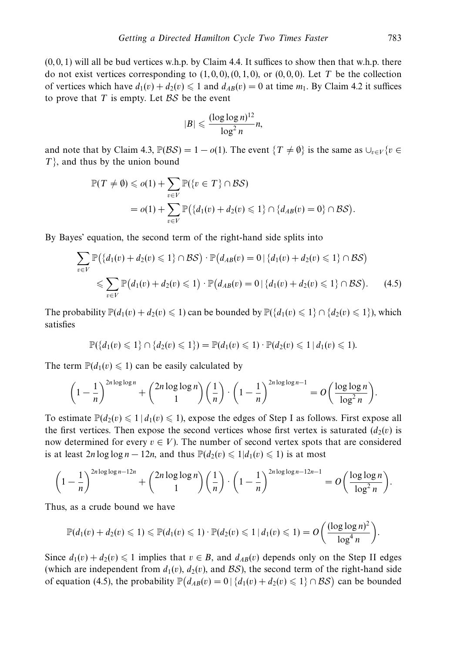$(0, 0, 1)$  will all be bud vertices w.h.p. by Claim 4.4. It suffices to show then that w.h.p. there do not exist vertices corresponding to  $(1, 0, 0), (0, 1, 0)$ , or  $(0, 0, 0)$ . Let *T* be the collection of vertices which have  $d_1(v) + d_2(v) \leq 1$  and  $d_{AB}(v) = 0$  at time  $m_1$ . By Claim 4.2 it suffices to prove that  $T$  is empty. Let  $BS$  be the event

$$
|B| \leqslant \frac{(\log\log n)^{12}}{\log^2 n} n,
$$

and note that by Claim 4.3,  $\mathbb{P}(\mathcal{BS})=1 - o(1)$ . The event  $\{T \neq \emptyset\}$  is the same as  $\bigcup_{v \in V} \{v \in V\}$ *T*}, and thus by the union bound

$$
\mathbb{P}(T \neq \emptyset) \leqslant o(1) + \sum_{v \in V} \mathbb{P}(\{v \in T\} \cap \mathcal{BS})
$$
  
=  $o(1) + \sum_{v \in V} \mathbb{P}(\{d_1(v) + d_2(v) \leqslant 1\} \cap \{d_{AB}(v) = 0\} \cap \mathcal{BS}).$ 

By Bayes' equation, the second term of the right-hand side splits into

$$
\sum_{v \in V} \mathbb{P}\big(\{d_1(v) + d_2(v) \leq 1\} \cap \mathcal{BS}\big) \cdot \mathbb{P}\big(d_{AB}(v) = 0 \mid \{d_1(v) + d_2(v) \leq 1\} \cap \mathcal{BS}\big)
$$
  

$$
\leq \sum_{v \in V} \mathbb{P}\big(d_1(v) + d_2(v) \leq 1\big) \cdot \mathbb{P}\big(d_{AB}(v) = 0 \mid \{d_1(v) + d_2(v) \leq 1\} \cap \mathcal{BS}\big).
$$
 (4.5)

The probability  $\mathbb{P}(d_1(v) + d_2(v) \leq 1)$  can be bounded by  $\mathbb{P}(\lbrace d_1(v) \leq 1 \rbrace \cap \lbrace d_2(v) \leq 1 \rbrace)$ , which satisfies

$$
\mathbb{P}(\{d_1(v) \leq 1\} \cap \{d_2(v) \leq 1\}) = \mathbb{P}(d_1(v) \leq 1) \cdot \mathbb{P}(d_2(v) \leq 1 \mid d_1(v) \leq 1).
$$

The term  $\mathbb{P}(d_1(v) \leq 1)$  can be easily calculated by

$$
\left(1-\frac{1}{n}\right)^{2n\log\log n}+\binom{2n\log\log n}{1}\left(\frac{1}{n}\right)\cdot\left(1-\frac{1}{n}\right)^{2n\log\log n-1}=O\left(\frac{\log\log n}{\log^2 n}\right).
$$

To estimate  $\mathbb{P}(d_2(v) \leq 1 \mid d_1(v) \leq 1)$ , expose the edges of Step I as follows. First expose all the first vertices. Then expose the second vertices whose first vertex is saturated  $(d_2(v))$  is now determined for every  $v \in V$ ). The number of second vertex spots that are considered is at least  $2n \log \log n - 12n$ , and thus  $\mathbb{P}(d_2(v) \leq 1 | d_1(v) \leq 1)$  is at most

$$
\left(1-\frac{1}{n}\right)^{2n\log\log n-12n}+\binom{2n\log\log n}{1}\left(\frac{1}{n}\right)\cdot\left(1-\frac{1}{n}\right)^{2n\log\log n-12n-1}=O\left(\frac{\log\log n}{\log^2 n}\right).
$$

Thus, as a crude bound we have

$$
\mathbb{P}(d_1(v)+d_2(v)\leq 1)\leq \mathbb{P}(d_1(v)\leq 1)\cdot \mathbb{P}(d_2(v)\leq 1\,|\,d_1(v)\leq 1)=O\bigg(\frac{(\log\log n)^2}{\log^4 n}\bigg).
$$

Since  $d_1(v) + d_2(v) \leq 1$  implies that  $v \in B$ , and  $d_{AB}(v)$  depends only on the Step II edges (which are independent from  $d_1(v)$ ,  $d_2(v)$ , and BS), the second term of the right-hand side of equation (4.5), the probability  $\mathbb{P}(d_{AB}(v) = 0 | \{d_1(v) + d_2(v) \leq 1\} \cap \mathcal{BS})$  can be bounded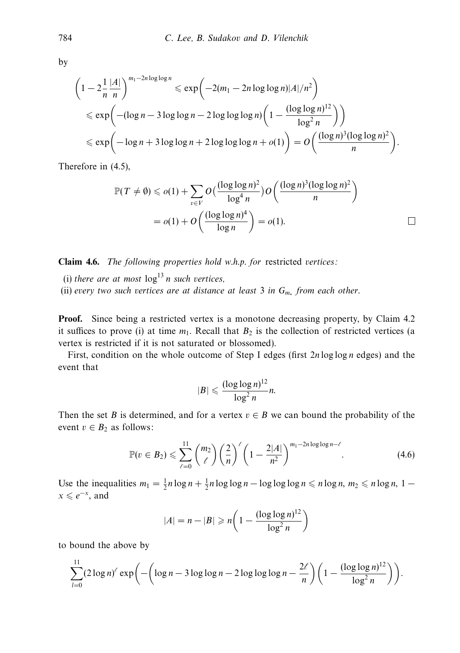by

$$
\left(1 - 2\frac{1}{n}\frac{|A|}{n}\right)^{m_1 - 2n\log\log n} \le \exp\left(-2(m_1 - 2n\log\log n)|A|/n^2\right)
$$
  
\n
$$
\le \exp\left(-(\log n - 3\log\log n - 2\log\log\log n)\left(1 - \frac{(\log\log n)^{12}}{\log^2 n}\right)\right)
$$
  
\n
$$
\le \exp\left(-\log n + 3\log\log n + 2\log\log\log n + o(1)\right) = O\left(\frac{(\log n)^3(\log\log n)^2}{n}\right).
$$

Therefore in (4.5),

$$
\mathbb{P}(T \neq \emptyset) \leqslant o(1) + \sum_{v \in V} O\left(\frac{(\log \log n)^2}{\log^4 n}\right) O\left(\frac{(\log n)^3 (\log \log n)^2}{n}\right)
$$

$$
= o(1) + O\left(\frac{(\log \log n)^4}{\log n}\right) = o(1). \qquad \Box
$$

**Claim 4.6.** The following properties hold w.h.p. for restricted vertices:

(i) there are at most  $\log^{13} n$  such vertices,

(ii) every two such vertices are at distance at least 3 in *Gm*<sup>∗</sup> from each other.

**Proof.** Since being a restricted vertex is a monotone decreasing property, by Claim 4.2 it suffices to prove (i) at time  $m_1$ . Recall that  $B_2$  is the collection of restricted vertices (a vertex is restricted if it is not saturated or blossomed).

First, condition on the whole outcome of Step I edges (first 2*n* log log *n* edges) and the event that

$$
|B| \leqslant \frac{(\log \log n)^{12}}{\log^2 n} n.
$$

Then the set *B* is determined, and for a vertex  $v \in B$  we can bound the probability of the event  $v \in B_2$  as follows:

$$
\mathbb{P}(v \in B_2) \leq \sum_{\ell=0}^{11} {m_2 \choose \ell} \left(\frac{2}{n}\right)^{\ell} \left(1 - \frac{2|A|}{n^2}\right)^{m_1 - 2n \log \log n - \ell}.
$$
 (4.6)

Use the inequalities  $m_1 = \frac{1}{2}n \log n + \frac{1}{2}n \log \log n - \log \log \log n \le n \log n$ ,  $m_2 \le n \log n$ ,  $1$  $x \le e^{-x}$ , and

$$
|A| = n - |B| \ge n \left( 1 - \frac{(\log \log n)^{12}}{\log^2 n} \right)
$$

to bound the above by

$$
\sum_{l=0}^{11} (2\log n)^{\ell} \exp \biggl(-\biggl(\log n - 3\log\log n - 2\log\log\log n - \frac{2\ell}{n}\biggr)\biggl(1 - \frac{(\log\log n)^{12}}{\log^2 n}\biggr)\biggr).
$$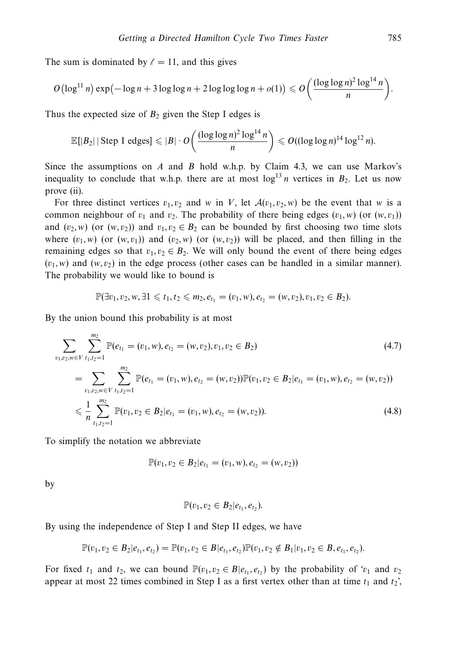The sum is dominated by  $\ell = 11$ , and this gives

$$
O\left(\log^{11} n\right) \exp\left(-\log n + 3\log\log n + 2\log\log\log n + o(1)\right) \leqslant O\left(\frac{(\log\log n)^2 \log^{14} n}{n}\right).
$$

Thus the expected size of  $B_2$  given the Step I edges is

$$
\mathbb{E}[|B_2| \,|\, \text{Step I edges}] \leqslant |B| \cdot O\left(\frac{(\log \log n)^2 \log^{14} n}{n}\right) \leqslant O((\log \log n)^{14} \log^{12} n).
$$

Since the assumptions on *A* and *B* hold w.h.p. by Claim 4.3, we can use Markov's inequality to conclude that w.h.p. there are at most  $log^{13} n$  vertices in  $B_2$ . Let us now prove (ii).

For three distinct vertices  $v_1, v_2$  and *w* in *V*, let  $\mathcal{A}(v_1, v_2, w)$  be the event that *w* is a common neighbour of  $v_1$  and  $v_2$ . The probability of there being edges  $(v_1, w)$  (or  $(w, v_1)$ ) and  $(v_2, w)$  (or  $(w, v_2)$ ) and  $v_1, v_2 \in B_2$  can be bounded by first choosing two time slots where  $(v_1, w)$  (or  $(w, v_1)$ ) and  $(v_2, w)$  (or  $(w, v_2)$ ) will be placed, and then filling in the remaining edges so that  $v_1, v_2 \in B_2$ . We will only bound the event of there being edges  $(v_1, w)$  and  $(w, v_2)$  in the edge process (other cases can be handled in a similar manner). The probability we would like to bound is

$$
\mathbb{P}(\exists v_1, v_2, w, \exists 1 \leq t_1, t_2 \leq m_2, e_{t_1} = (v_1, w), e_{t_2} = (w, v_2), v_1, v_2 \in B_2).
$$

By the union bound this probability is at most

$$
\sum_{v_1, v_2, w \in V} \sum_{t_1, t_2 = 1}^{m_2} \mathbb{P}(e_{t_1} = (v_1, w), e_{t_2} = (w, v_2), v_1, v_2 \in B_2)
$$
\n
$$
= \sum_{v_1, v_2, w \in V} \sum_{t_1, t_2 = 1}^{m_2} \mathbb{P}(e_{t_1} = (v_1, w), e_{t_2} = (w, v_2)) \mathbb{P}(v_1, v_2 \in B_2 | e_{t_1} = (v_1, w), e_{t_2} = (w, v_2))
$$
\n
$$
\leq \frac{1}{n} \sum_{t_1, t_2 = 1}^{m_2} \mathbb{P}(v_1, v_2 \in B_2 | e_{t_1} = (v_1, w), e_{t_2} = (w, v_2)).
$$
\n(4.8)

To simplify the notation we abbreviate

$$
\mathbb{P}(v_1, v_2 \in B_2 | e_{t_1} = (v_1, w), e_{t_2} = (w, v_2))
$$

by

$$
\mathbb{P}(v_1,v_2 \in B_2|e_{t_1},e_{t_2}).
$$

By using the independence of Step I and Step II edges, we have

$$
\mathbb{P}(v_1,v_2 \in B_2|e_{t_1},e_{t_2}) = \mathbb{P}(v_1,v_2 \in B|e_{t_1},e_{t_2})\mathbb{P}(v_1,v_2 \notin B_1|v_1,v_2 \in B, e_{t_1},e_{t_2}).
$$

For fixed  $t_1$  and  $t_2$ , we can bound  $\mathbb{P}(v_1, v_2 \in B | e_t, e_t)$  by the probability of ' $v_1$  and  $v_2$ appear at most 22 times combined in Step I as a first vertex other than at time  $t_1$  and  $t_2$ ',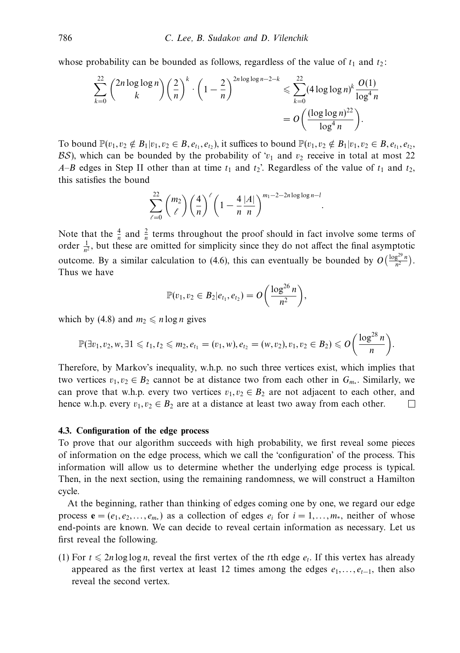whose probability can be bounded as follows, regardless of the value of  $t_1$  and  $t_2$ :

$$
\sum_{k=0}^{22} {2n \log \log n \choose k} \left(\frac{2}{n}\right)^k \cdot \left(1 - \frac{2}{n}\right)^{2n \log \log n - 2 - k} \leq \sum_{k=0}^{22} (4 \log \log n)^k \frac{O(1)}{\log^4 n} = O\left(\frac{(\log \log n)^{22}}{\log^4 n}\right).
$$

To bound  $\mathbb{P}(v_1, v_2 \notin B_1 | v_1, v_2 \in B, e_{t_1}, e_{t_2})$ , it suffices to bound  $\mathbb{P}(v_1, v_2 \notin B_1 | v_1, v_2 \in B, e_{t_1}, e_{t_2})$ BS), which can be bounded by the probability of  $v_1$  and  $v_2$  receive in total at most 22 *A*–*B* edges in Step II other than at time  $t_1$  and  $t_2$ . Regardless of the value of  $t_1$  and  $t_2$ , this satisfies the bound

$$
\sum_{\ell=0}^{22} {m_2 \choose \ell} \left(\frac{4}{n}\right)^{\ell} \left(1 - \frac{4}{n} \frac{|A|}{n}\right)^{m_1 - 2 - 2n \log \log n - i}
$$

*.*

Note that the  $\frac{4}{n}$  and  $\frac{2}{n}$  terms throughout the proof should in fact involve some terms of order  $\frac{1}{n^2}$ , but these are omitted for simplicity since they do not affect the final asymptotic outcome. By a similar calculation to (4.6), this can eventually be bounded by  $O\left(\frac{\log^{29} n}{n^2}\right)$ . Thus we have

$$
\mathbb{P}(v_1, v_2 \in B_2 | e_{t_1}, e_{t_2}) = O\bigg(\frac{\log^{26} n}{n^2}\bigg),\,
$$

which by (4.8) and  $m_2 \le n \log n$  gives

$$
\mathbb{P}(\exists v_1, v_2, w, \exists 1 \leq t_1, t_2 \leq m_2, e_{t_1} = (v_1, w), e_{t_2} = (w, v_2), v_1, v_2 \in B_2) \leqslant O\left(\frac{\log^{28} n}{n}\right).
$$

Therefore, by Markov's inequality, w.h.p. no such three vertices exist, which implies that two vertices  $v_1, v_2 \in B_2$  cannot be at distance two from each other in  $G_{m,*}$ . Similarly, we can prove that w.h.p. every two vertices  $v_1, v_2 \in B_2$  are not adjacent to each other, and hence w.h.p. every  $v_1, v_2 \in B_2$  are at a distance at least two away from each other.  $\Box$ 

## **4.3. Configuration of the edge process**

To prove that our algorithm succeeds with high probability, we first reveal some pieces of information on the edge process, which we call the 'configuration' of the process. This information will allow us to determine whether the underlying edge process is typical. Then, in the next section, using the remaining randomness, we will construct a Hamilton cycle.

At the beginning, rather than thinking of edges coming one by one, we regard our edge process  $\mathbf{e} = (e_1, e_2, \dots, e_{m*})$  as a collection of edges  $e_i$  for  $i = 1, \dots, m*$ , neither of whose end-points are known. We can decide to reveal certain information as necessary. Let us first reveal the following.

(1) For  $t \le 2n \log \log n$ , reveal the first vertex of the *t*th edge  $e_t$ . If this vertex has already appeared as the first vertex at least 12 times among the edges  $e_1, \ldots, e_{t-1}$ , then also reveal the second vertex.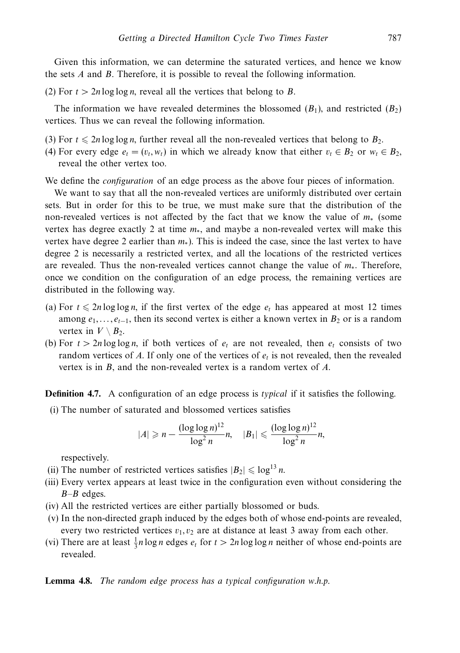Given this information, we can determine the saturated vertices, and hence we know the sets *A* and *B*. Therefore, it is possible to reveal the following information.

(2) For *t >* 2*n* log log *n*, reveal all the vertices that belong to *B*.

The information we have revealed determines the blossomed  $(B_1)$ , and restricted  $(B_2)$ vertices. Thus we can reveal the following information.

- (3) For  $t \le 2n \log \log n$ , further reveal all the non-revealed vertices that belong to  $B_2$ .
- (4) For every edge  $e_t = (v_t, w_t)$  in which we already know that either  $v_t \in B_2$  or  $w_t \in B_2$ , reveal the other vertex too.

We define the *configuration* of an edge process as the above four pieces of information.

We want to say that all the non-revealed vertices are uniformly distributed over certain sets. But in order for this to be true, we must make sure that the distribution of the non-revealed vertices is not affected by the fact that we know the value of *m*<sup>∗</sup> (some vertex has degree exactly 2 at time *m*∗, and maybe a non-revealed vertex will make this vertex have degree 2 earlier than *m*∗). This is indeed the case, since the last vertex to have degree 2 is necessarily a restricted vertex, and all the locations of the restricted vertices are revealed. Thus the non-revealed vertices cannot change the value of *m*∗. Therefore, once we condition on the configuration of an edge process, the remaining vertices are distributed in the following way.

- (a) For  $t \le 2n \log \log n$ , if the first vertex of the edge  $e_t$  has appeared at most 12 times among  $e_1, \ldots, e_{t-1}$ , then its second vertex is either a known vertex in  $B_2$  or is a random vertex in  $V \setminus B_2$ .
- (b) For  $t > 2n \log \log n$ , if both vertices of  $e_t$  are not revealed, then  $e_t$  consists of two random vertices of *A*. If only one of the vertices of  $e_t$  is not revealed, then the revealed vertex is in *B*, and the non-revealed vertex is a random vertex of *A*.

**Definition 4.7.** A configuration of an edge process is typical if it satisfies the following.

(i) The number of saturated and blossomed vertices satisfies

$$
|A| \geqslant n - \frac{(\log \log n)^{12}}{\log^2 n} n, \quad |B_1| \leqslant \frac{(\log \log n)^{12}}{\log^2 n} n,
$$

respectively.

- (ii) The number of restricted vertices satisfies  $|B_2| \leq \log^{13} n$ .
- (iii) Every vertex appears at least twice in the configuration even without considering the *B*–*B* edges.
- (iv) All the restricted vertices are either partially blossomed or buds.
- (v) In the non-directed graph induced by the edges both of whose end-points are revealed, every two restricted vertices  $v_1, v_2$  are at distance at least 3 away from each other.
- (vi) There are at least  $\frac{1}{3}n \log n$  edges  $e_t$  for  $t > 2n \log \log n$  neither of whose end-points are revealed.

# **Lemma 4.8.** The random edge process has a typical configuration w.h.p.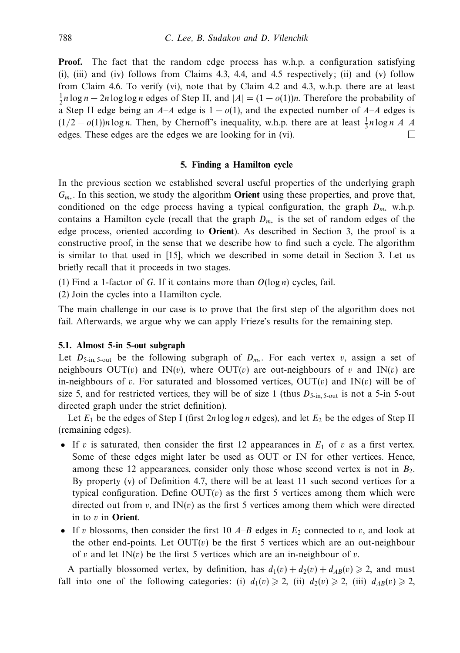**Proof.** The fact that the random edge process has w.h.p. a configuration satisfying  $(i)$ ,  $(iii)$  and  $(iv)$  follows from Claims 4.3, 4.4, and 4.5 respectively;  $(ii)$  and  $(v)$  follow from Claim 4.6. To verify (vi), note that by Claim 4.2 and 4.3, w.h.p. there are at least  $\frac{1}{2}n \log n - 2n \log \log n$  edges of Step II, and  $|A| = (1 - o(1))n$ . Therefore the probability of a Step II edge being an  $A-A$  edge is  $1-o(1)$ , and the expected number of  $A-A$  edges is  $(1/2 - o(1))n \log n$ . Then, by Chernoff's inequality, w.h.p. there are at least  $\frac{1}{3}n \log n$  *A-A* edges. These edges are the edges we are looking for in (vi).

#### **5. Finding a Hamilton cycle**

In the previous section we established several useful properties of the underlying graph *Gm*<sup>∗</sup> . In this section, we study the algorithm **Orient** using these properties, and prove that, conditioned on the edge process having a typical configuration, the graph *Dm*<sup>∗</sup> w.h.p. contains a Hamilton cycle (recall that the graph *Dm*<sup>∗</sup> is the set of random edges of the edge process, oriented according to **Orient**). As described in Section 3, the proof is a constructive proof, in the sense that we describe how to find such a cycle. The algorithm is similar to that used in [15], which we described in some detail in Section 3. Let us briefly recall that it proceeds in two stages.

(1) Find a 1-factor of *G*. If it contains more than *O*(log *n*) cycles, fail.

(2) Join the cycles into a Hamilton cycle.

The main challenge in our case is to prove that the first step of the algorithm does not fail. Afterwards, we argue why we can apply Frieze's results for the remaining step.

# **5.1. Almost 5-in 5-out subgraph**

Let  $D_{5\text{-in}}$ , 5-out be the following subgraph of  $D_{m*}$ . For each vertex *v*, assign a set of neighbours  $OUT(v)$  and  $IN(v)$ , where  $OUT(v)$  are out-neighbours of *v* and  $IN(v)$  are in-neighbours of *v*. For saturated and blossomed vertices,  $OUT(v)$  and  $IN(v)$  will be of size 5, and for restricted vertices, they will be of size 1 (thus  $D_{5\text{-in}}$ ,  $_{5\text{-out}}$  is not a 5-in 5-out directed graph under the strict definition).

Let *E*<sup>1</sup> be the edges of Step I (first 2*n* log log *n* edges), and let *E*<sup>2</sup> be the edges of Step II (remaining edges).

- If *v* is saturated, then consider the first 12 appearances in  $E_1$  of *v* as a first vertex. Some of these edges might later be used as OUT or IN for other vertices. Hence, among these 12 appearances, consider only those whose second vertex is not in  $B_2$ . By property (v) of Definition 4.7, there will be at least 11 such second vertices for a typical configuration. Define  $OUT(v)$  as the first 5 vertices among them which were directed out from  $v$ , and  $IN(v)$  as the first 5 vertices among them which were directed in to *v* in **Orient**.
- If *v* blossoms, then consider the first 10  $A-B$  edges in  $E_2$  connected to *v*, and look at the other end-points. Let  $OUT(v)$  be the first 5 vertices which are an out-neighbour of *v* and let  $IN(v)$  be the first 5 vertices which are an in-neighbour of *v*.

A partially blossomed vertex, by definition, has  $d_1(v) + d_2(v) + d_A g(v) \geq 2$ , and must fall into one of the following categories: (i)  $d_1(v) \ge 2$ , (ii)  $d_2(v) \ge 2$ , (iii)  $d_{AB}(v) \ge 2$ ,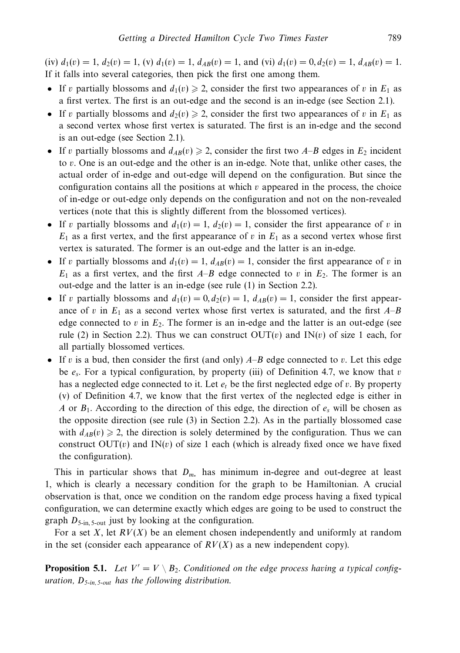$(iv) d_1(v) = 1, d_2(v) = 1, (v) d_1(v) = 1, d_A g(v) = 1$ , and  $(vi) d_1(v) = 0, d_2(v) = 1, d_A g(v) = 1$ . If it falls into several categories, then pick the first one among them.

- If *v* partially blossoms and  $d_1(v) \ge 2$ , consider the first two appearances of *v* in  $E_1$  as a first vertex. The first is an out-edge and the second is an in-edge (see Section 2.1).
- If *v* partially blossoms and  $d_2(v) \ge 2$ , consider the first two appearances of *v* in  $E_1$  as a second vertex whose first vertex is saturated. The first is an in-edge and the second is an out-edge (see Section 2.1).
- If *v* partially blossoms and  $d_{AB}(v) \ge 2$ , consider the first two *A–B* edges in  $E_2$  incident to *v*. One is an out-edge and the other is an in-edge. Note that, unlike other cases, the actual order of in-edge and out-edge will depend on the configuration. But since the configuration contains all the positions at which *v* appeared in the process, the choice of in-edge or out-edge only depends on the configuration and not on the non-revealed vertices (note that this is slightly different from the blossomed vertices).
- If *v* partially blossoms and  $d_1(v) = 1$ ,  $d_2(v) = 1$ , consider the first appearance of *v* in  $E_1$  as a first vertex, and the first appearance of *v* in  $E_1$  as a second vertex whose first vertex is saturated. The former is an out-edge and the latter is an in-edge.
- If *v* partially blossoms and  $d_1(v) = 1$ ,  $d_{AB}(v) = 1$ , consider the first appearance of *v* in  $E_1$  as a first vertex, and the first  $A-B$  edge connected to *v* in  $E_2$ . The former is an out-edge and the latter is an in-edge (see rule (1) in Section 2.2).
- If *v* partially blossoms and  $d_1(v) = 0, d_2(v) = 1, d_{AB}(v) = 1$ , consider the first appearance of *v* in  $E_1$  as a second vertex whose first vertex is saturated, and the first  $A-B$ edge connected to  $v$  in  $E_2$ . The former is an in-edge and the latter is an out-edge (see rule (2) in Section 2.2). Thus we can construct  $OUT(v)$  and  $IN(v)$  of size 1 each, for all partially blossomed vertices.
- If *v* is a bud, then consider the first (and only) *A*–*B* edge connected to *v*. Let this edge be *es*. For a typical configuration, by property (iii) of Definition 4.7, we know that *v* has a neglected edge connected to it. Let  $e_t$  be the first neglected edge of *v*. By property (v) of Definition 4.7, we know that the first vertex of the neglected edge is either in *A* or *B*1. According to the direction of this edge, the direction of *es* will be chosen as the opposite direction (see rule (3) in Section 2.2). As in the partially blossomed case with  $d_{AB}(v) \ge 2$ , the direction is solely determined by the configuration. Thus we can construct  $OUT(v)$  and  $IN(v)$  of size 1 each (which is already fixed once we have fixed the configuration).

This in particular shows that *Dm*<sup>∗</sup> has minimum in-degree and out-degree at least 1, which is clearly a necessary condition for the graph to be Hamiltonian. A crucial observation is that, once we condition on the random edge process having a fixed typical configuration, we can determine exactly which edges are going to be used to construct the graph  $D_{5\text{-in}}$ , 5-out just by looking at the configuration.

For a set *X*, let *RV*(*X*) be an element chosen independently and uniformly at random in the set (consider each appearance of  $RV(X)$  as a new independent copy).

**Proposition 5.1.** Let  $V' = V \setminus B_2$ . Conditioned on the edge process having a typical configuration,  $D_{5-in, 5-out}$  has the following distribution.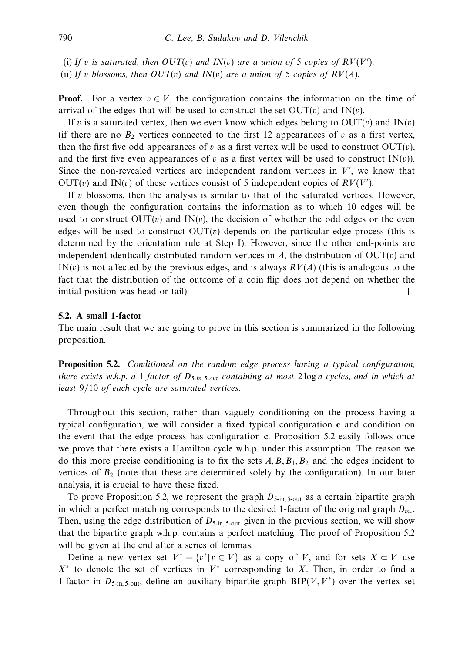(i) If *v* is saturated, then  $OUT(v)$  and  $IN(v)$  are a union of 5 copies of  $RV(V')$ .

(ii) If *v* blossoms, then  $OUT(v)$  and  $IN(v)$  are a union of 5 copies of  $RV(A)$ .

**Proof.** For a vertex  $v \in V$ , the configuration contains the information on the time of arrival of the edges that will be used to construct the set  $OUT(v)$  and  $IN(v)$ .

If *v* is a saturated vertex, then we even know which edges belong to  $OUT(v)$  and  $IN(v)$ (if there are no  $B_2$  vertices connected to the first 12 appearances of *v* as a first vertex, then the first five odd appearances of *v* as a first vertex will be used to construct  $OUT(v)$ , and the first five even appearances of *v* as a first vertex will be used to construct  $IN(v)$ . Since the non-revealed vertices are independent random vertices in  $V'$ , we know that OUT(*v*) and IN(*v*) of these vertices consist of 5 independent copies of  $RV(V')$ .

If *v* blossoms, then the analysis is similar to that of the saturated vertices. However, even though the configuration contains the information as to which 10 edges will be used to construct  $OUT(v)$  and  $IN(v)$ , the decision of whether the odd edges or the even edges will be used to construct  $OUT(v)$  depends on the particular edge process (this is determined by the orientation rule at Step I). However, since the other end-points are independent identically distributed random vertices in  $A$ , the distribution of  $OUT(v)$  and  $IN(v)$  is not affected by the previous edges, and is always  $RV(A)$  (this is analogous to the fact that the distribution of the outcome of a coin flip does not depend on whether the initial position was head or tail).  $\Box$ 

# **5.2. A small 1-factor**

The main result that we are going to prove in this section is summarized in the following proposition.

**Proposition 5.2.** Conditioned on the random edge process having a typical configuration, there exists w.h.p. a 1-factor of  $D_{5\text{-}in, 5\text{-}out}$  containing at most 2 log *n* cycles, and in which at least 9*/*10 of each cycle are saturated vertices.

Throughout this section, rather than vaguely conditioning on the process having a typical configuration, we will consider a fixed typical configuration **c** and condition on the event that the edge process has configuration **c**. Proposition 5.2 easily follows once we prove that there exists a Hamilton cycle w.h.p. under this assumption. The reason we do this more precise conditioning is to fix the sets  $A, B, B<sub>1</sub>, B<sub>2</sub>$  and the edges incident to vertices of  $B_2$  (note that these are determined solely by the configuration). In our later analysis, it is crucial to have these fixed.

To prove Proposition 5.2, we represent the graph  $D_{5\text{-in}}$ ,  $_{5\text{-out}}$  as a certain bipartite graph in which a perfect matching corresponds to the desired 1-factor of the original graph  $D_m$ . Then, using the edge distribution of  $D_{5\text{-in}}$ ,  $_{5\text{-out}}$  given in the previous section, we will show that the bipartite graph w.h.p. contains a perfect matching. The proof of Proposition 5.2 will be given at the end after a series of lemmas.

Define a new vertex set  $V^* = \{v^* | v \in V\}$  as a copy of *V*, and for sets  $X \subset V$  use *X*<sup>∗</sup> to denote the set of vertices in *V*<sup>∗</sup> corresponding to *X*. Then, in order to find a 1-factor in  $D_{5\text{-in},5\text{-out}}$ , define an auxiliary bipartite graph  $\text{BIP}(V,V^*)$  over the vertex set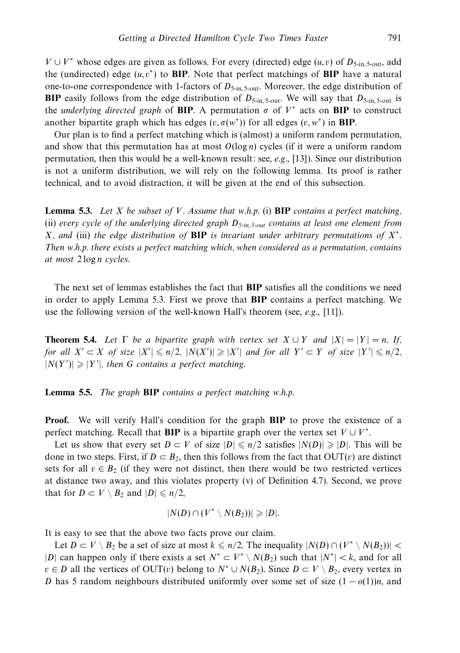*V* ∪ *V*<sup>∗</sup> whose edges are given as follows. For every (directed) edge (*u, v*) of  $D_{5\text{-}in, 5\text{-}out, 2}$ the (undirected) edge  $(u, v^*)$  to **BIP**. Note that perfect matchings of **BIP** have a natural one-to-one correspondence with 1-factors of  $D_{5\text{-in}}$ , 5-out. Moreover, the edge distribution of **BIP** easily follows from the edge distribution of  $D_{5\text{-in}}$ ,  $_{5\text{-out}}$ . We will say that  $D_{5\text{-in}}$ ,  $_{5\text{-out}}$  is the underlying directed graph of BIP. A permutation  $\sigma$  of  $V^*$  acts on BIP to construct another bipartite graph which has edges  $(v, \sigma(w^*))$  for all edges  $(v, w^*)$  in **BIP**.

Our plan is to find a perfect matching which is (almost) a uniform random permutation, and show that this permutation has at most *O*(log *n*) cycles (if it were a uniform random permutation, then this would be a well-known result: see,  $e.g., [13]$ ). Since our distribution is not a uniform distribution, we will rely on the following lemma. Its proof is rather technical, and to avoid distraction, it will be given at the end of this subsection.

**Lemma 5.3.** Let *X* be subset of *V*. Assume that w.h.p. (i) **BIP** contains a perfect matching, (ii) every cycle of the underlying directed graph  $D_{5\text{-}in, 5-out}$  contains at least one element from *X*, and (iii) the edge distribution of **BIP** is invariant under arbitrary permutations of *X*<sup>∗</sup>. Then w.h.p. there exists a perfect matching which, when considered as a permutation, contains at most 2 log *n* cycles.

The next set of lemmas establishes the fact that **BIP** satisfies all the conditions we need in order to apply Lemma 5.3. First we prove that **BIP** contains a perfect matching. We use the following version of the well-known Hall's theorem (see, e.g., [11]).

**Theorem 5.4.** Let  $\Gamma$  be a bipartite graph with vertex set  $X \cup Y$  and  $|X| = |Y| = n$ . If, for all  $X' \subset X$  of size  $|X'| \leq n/2$ ,  $|N(X')| \geq |X'|$  and for all  $Y' \subset Y$  of size  $|Y'| \leq n/2$ ,  $|N(Y')| \geq |Y'|$ , then *G* contains a perfect matching.

**Lemma 5.5.** The graph **BIP** contains a perfect matching w.h.p.

**Proof.** We will verify Hall's condition for the graph **BIP** to prove the existence of a perfect matching. Recall that **BIP** is a bipartite graph over the vertex set  $V \cup V^*$ .

Let us show that every set  $D \subset V$  of size  $|D| \leq n/2$  satisfies  $|N(D)| \geq |D|$ . This will be done in two steps. First, if  $D \subset B_2$ , then this follows from the fact that  $OUT(v)$  are distinct sets for all  $v \in B_2$  (if they were not distinct, then there would be two restricted vertices at distance two away, and this violates property (v) of Definition 4.7). Second, we prove that for  $D \subset V \setminus B_2$  and  $|D| \leq n/2$ ,

$$
|N(D) \cap (V^* \setminus N(B_2))| \geqslant |D|.
$$

It is easy to see that the above two facts prove our claim.

Let  $D \subset V \setminus B_2$  be a set of size at most  $k \leq n/2$ . The inequality  $|N(D) \cap (V^* \setminus N(B_2))|$ |*D*| can happen only if there exists a set  $N^*$  ⊂  $V^* \setminus N(B_2)$  such that  $|N^*| < k$ , and for all *v* ∈ *D* all the vertices of OUT(*v*) belong to  $N^* \cup N(B_2)$ . Since  $D \subset V \setminus B_2$ , every vertex in *D* has 5 random neighbours distributed uniformly over some set of size  $(1 - o(1))n$ , and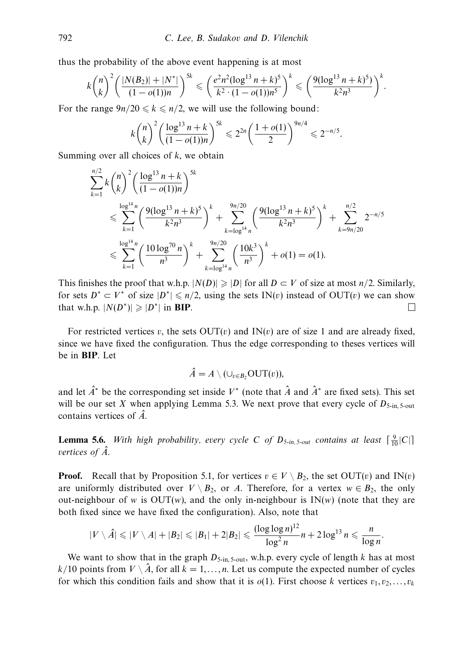thus the probability of the above event happening is at most

$$
k\binom{n}{k}^2\left(\frac{|N(B_2)|+|N^*|}{(1-o(1))n}\right)^{5k} \leqslant \left(\frac{e^2n^2(\log^{13}n+k)^5}{k^2\cdot(1-o(1))n^5}\right)^k \leqslant \left(\frac{9(\log^{13}n+k)^5}{k^2n^3}\right)^k.
$$

For the range  $9n/20 \le k \le n/2$ , we will use the following bound:

$$
k\binom{n}{k}^2 \left(\frac{\log^{13} n + k}{(1 - o(1))n}\right)^{5k} \leq 2^{2n} \left(\frac{1 + o(1)}{2}\right)^{9n/4} \leq 2^{-n/5}.
$$

Summing over all choices of *k*, we obtain

$$
\sum_{k=1}^{n/2} k {n \choose k}^2 \left( \frac{\log^{13} n + k}{(1 - o(1))n} \right)^{5k}
$$
  
\n
$$
\leqslant \sum_{k=1}^{\log^{14} n} \left( \frac{9(\log^{13} n + k)^5}{k^2 n^3} \right)^k + \sum_{k=\log^{14} n}^{9n/20} \left( \frac{9(\log^{13} n + k)^5}{k^2 n^3} \right)^k + \sum_{k=9n/20}^{n/2} 2^{-n/5}
$$
  
\n
$$
\leqslant \sum_{k=1}^{\log^{14} n} \left( \frac{10 \log^{70} n}{n^3} \right)^k + \sum_{k=\log^{14} n}^{9n/20} \left( \frac{10k^3}{n^3} \right)^k + o(1) = o(1).
$$

This finishes the proof that w.h.p.  $|N(D)| \geq |D|$  for all  $D \subset V$  of size at most  $n/2$ . Similarly, for sets  $D^* \subset V^*$  of size  $|D^*| \leq n/2$ , using the sets IN(*v*) instead of OUT(*v*) we can show that w.h.p.  $|N(D^*)| \geq |D^*|$  in **BIP**.  $\Box$ 

For restricted vertices *v*, the sets  $OUT(v)$  and  $IN(v)$  are of size 1 and are already fixed, since we have fixed the configuration. Thus the edge corresponding to theses vertices will be in **BIP**. Let

$$
\hat{A}=A\setminus (\cup_{v\in B_2}\textup{OUT}(v)),
$$

and let  $\hat{A}^*$  be the corresponding set inside  $V^*$  (note that  $\hat{A}$  and  $\hat{A}^*$  are fixed sets). This set will be our set *X* when applying Lemma 5.3. We next prove that every cycle of  $D_{5\text{-in}}$ ,  $5\text{-out}$ contains vertices of *A*ˆ.

**Lemma 5.6.** With high probability, every cycle *C* of  $D_{5\text{-in},5\text{-out}}$  contains at least  $\lceil \frac{9}{10} |C| \rceil$ vertices of  $\hat{A}$ .

**Proof.** Recall that by Proposition 5.1, for vertices  $v \in V \setminus B_2$ , the set OUT(*v*) and IN(*v*) are uniformly distributed over  $V \setminus B_2$ , or *A*. Therefore, for a vertex  $w \in B_2$ , the only out-neighbour of *w* is OUT(*w*), and the only in-neighbour is  $IN(w)$  (note that they are both fixed since we have fixed the configuration). Also, note that

$$
|V \setminus \hat{A}| \leqslant |V \setminus A| + |B_2| \leqslant |B_1| + 2|B_2| \leqslant \frac{(\log \log n)^{12}}{\log^2 n} n + 2\log^{13} n \leqslant \frac{n}{\log n}.
$$

We want to show that in the graph  $D_{5\text{-in}, 5\text{-out}}$ , w.h.p. every cycle of length *k* has at most  $k/10$  points from  $V \setminus \hat{A}$ , for all  $k = 1, \ldots, n$ . Let us compute the expected number of cycles for which this condition fails and show that it is  $o(1)$ . First choose *k* vertices  $v_1, v_2, \ldots, v_k$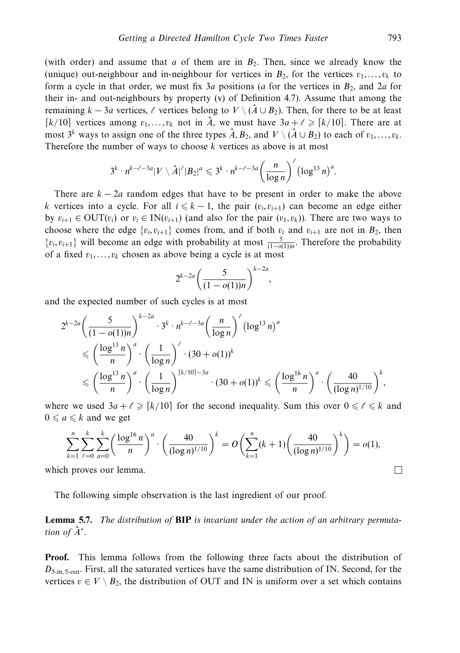(with order) and assume that  $a$  of them are in  $B_2$ . Then, since we already know the (unique) out-neighbour and in-neighbour for vertices in  $B_2$ , for the vertices  $v_1, \ldots, v_k$  to form a cycle in that order, we must fix 3*a* positions (*a* for the vertices in *B*2, and 2*a* for their in- and out-neighbours by property (v) of Definition 4.7). Assume that among the remaining  $k - 3a$  vertices,  $\ell$  vertices belong to  $V \setminus (\hat{A} \cup B_2)$ . Then, for there to be at least *k/*10 vertices among  $v_1, \ldots, v_k$  not in  $\hat{A}$ , we must have  $3a + \ell \geq |k/10|$ . There are at most  $3^k$  ways to assign one of the three types  $\hat{A}, B_2$ , and  $V \setminus (\hat{A} \cup B_2)$  to each of  $v_1, \ldots, v_k$ . Therefore the number of ways to choose *k* vertices as above is at most

$$
3^k \cdot n^{k-\ell-3a} |V \setminus \hat{A}|^{\ell} |B_2|^a \leqslant 3^k \cdot n^{k-\ell-3a} \left( \frac{n}{\log n} \right)^{\ell} \left( \log^{13} n \right)^a.
$$

There are  $k - 2a$  random edges that have to be present in order to make the above *k* vertices into a cycle. For all  $i \leq k - 1$ , the pair  $(v_i, v_{i+1})$  can become an edge either by  $v_{i+1} \in \text{OUT}(v_i)$  or  $v_i \in \text{IN}(v_{i+1})$  (and also for the pair  $(v_1, v_k)$ ). There are two ways to choose where the edge  $\{v_i, v_{i+1}\}$  comes from, and if both  $v_i$  and  $v_{i+1}$  are not in  $B_2$ , then  $\{v_i, v_{i+1}\}\$  will become an edge with probability at most  $\frac{5}{(1-o(1))n}$ . Therefore the probability of a fixed *v*1*,...,vk* chosen as above being a cycle is at most

$$
2^{k-2a}\left(\frac{5}{(1-o(1))n}\right)^{k-2a},
$$

and the expected number of such cycles is at most

$$
2^{k-2a} \left( \frac{5}{(1 - o(1))n} \right)^{k-2a} \cdot 3^k \cdot n^{k-\ell-3a} \left( \frac{n}{\log n} \right)^{\ell} (\log^{13} n)^a
$$
  
\$\leqslant \left( \frac{\log^{13} n}{n} \right)^a \cdot \left( \frac{1}{\log n} \right)^{\ell} \cdot (30 + o(1))^k\$  
\$\leqslant \left( \frac{\log^{13} n}{n} \right)^a \cdot \left( \frac{1}{\log n} \right)^{\lceil k/10 \rceil - 3a} \cdot (30 + o(1))^k \leqslant \left( \frac{\log^{16} n}{n} \right)^a \cdot \left( \frac{40}{(\log n)^{1/10}} \right)^k\$,

where we used  $3a + \ell \geq \lceil k/10 \rceil$  for the second inequality. Sum this over  $0 \leq \ell \leq k$  and  $0 \leq a \leq k$  and we get

$$
\sum_{k=1}^{n} \sum_{\ell=0}^{k} \sum_{a=0}^{k} \left( \frac{\log^{16} n}{n} \right)^a \cdot \left( \frac{40}{(\log n)^{1/10}} \right)^k = O\left( \sum_{k=1}^{n} (k+1) \left( \frac{40}{(\log n)^{1/10}} \right)^k \right) = o(1),
$$
  
a proves our lemma.

which proves our lemma.

The following simple observation is the last ingredient of our proof.

**Lemma 5.7.** The distribution of **BIP** is invariant under the action of an arbitrary permutation of  $\hat{A}^*$ .

**Proof.** This lemma follows from the following three facts about the distribution of *D*<sub>5-in, 5-out</sub>. First, all the saturated vertices have the same distribution of IN. Second, for the vertices  $v \in V \setminus B_2$ , the distribution of OUT and IN is uniform over a set which contains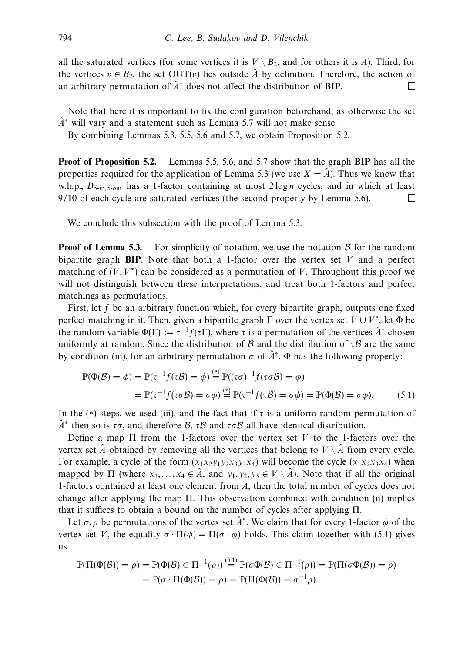all the saturated vertices (for some vertices it is  $V \setminus B_2$ , and for others it is *A*). Third, for the vertices  $v \in B_2$ , the set OUT(*v*) lies outside  $\hat{A}$  by definition. Therefore, the action of an arbitrary permutation of  $\hat{A}^*$  does not affect the distribution of **BIP**.  $\Box$ 

Note that here it is important to fix the configuration beforehand, as otherwise the set  $\hat{A}^*$  will vary and a statement such as Lemma 5.7 will not make sense.

By combining Lemmas 5.3, 5.5, 5.6 and 5.7, we obtain Proposition 5.2.

**Proof of Proposition 5.2.** Lemmas 5.5, 5.6, and 5.7 show that the graph **BIP** has all the properties required for the application of Lemma 5.3 (we use  $X = \hat{A}$ ). Thus we know that w.h.p.,  $D_{5-in.5-out}$  has a 1-factor containing at most  $2 \log n$  cycles, and in which at least 9/10 of each cycle are saturated vertices (the second property by Lemma 5.6).  $\Box$ 

We conclude this subsection with the proof of Lemma 5.3.

**Proof of Lemma 5.3.** For simplicity of notation, we use the notation  $\beta$  for the random bipartite graph **BIP**. Note that both a 1-factor over the vertex set *V* and a perfect matching of  $(V, V^*)$  can be considered as a permutation of V. Throughout this proof we will not distinguish between these interpretations, and treat both 1-factors and perfect matchings as permutations.

First, let f be an arbitrary function which, for every bipartite graph, outputs one fixed perfect matching in it. Then, given a bipartite graph  $\Gamma$  over the vertex set  $V \cup V^*$ , let  $\Phi$  be the random variable  $\Phi(\Gamma) := \tau^{-1} f(\tau \Gamma)$ , where  $\tau$  is a permutation of the vertices  $\hat{A}^*$  chosen uniformly at random. Since the distribution of B and the distribution of  $\tau B$  are the same by condition (iii), for an arbitrary permutation  $\sigma$  of  $\hat{A}^*$ ,  $\Phi$  has the following property:

$$
\mathbb{P}(\Phi(\mathcal{B}) = \phi) = \mathbb{P}(\tau^{-1}f(\tau\mathcal{B}) = \phi) \stackrel{(*)}{=} \mathbb{P}((\tau\sigma)^{-1}f(\tau\sigma\mathcal{B}) = \phi)
$$

$$
= \mathbb{P}(\tau^{-1}f(\tau\sigma\mathcal{B}) = \sigma\phi) \stackrel{(*)}{=} \mathbb{P}(\tau^{-1}f(\tau\mathcal{B}) = \sigma\phi) = \mathbb{P}(\Phi(\mathcal{B}) = \sigma\phi). \tag{5.1}
$$

In the (\*) steps, we used (iii), and the fact that if  $\tau$  is a uniform random permutation of *<sup>A</sup>*<sup>ˆ</sup> <sup>∗</sup> then so is *τσ*, and therefore <sup>B</sup>, *<sup>τ</sup>*<sup>B</sup> and *τσ*<sup>B</sup> all have identical distribution.

Define a map Π from the 1-factors over the vertex set *V* to the 1-factors over the vertex set  $\hat{A}$  obtained by removing all the vertices that belong to  $V \setminus \hat{A}$  from every cycle. For example, a cycle of the form  $(x_1x_2y_1y_2x_3y_3x_4)$  will become the cycle  $(x_1x_2x_3x_4)$  when mapped by  $\Pi$  (where  $x_1, \ldots, x_4 \in \hat{A}$ , and  $y_1, y_2, y_3 \in V \setminus \hat{A}$ ). Note that if all the original 1-factors contained at least one element from  $\hat{A}$ , then the total number of cycles does not change after applying the map Π. This observation combined with condition (ii) implies that it suffices to obtain a bound on the number of cycles after applying Π.

Let  $\sigma$ , *ρ* be permutations of the vertex set  $\hat{A}^*$ . We claim that for every 1-factor  $\phi$  of the vertex set *V*, the equality  $\sigma \cdot \Pi(\phi) = \Pi(\sigma \cdot \phi)$  holds. This claim together with (5.1) gives us

$$
\mathbb{P}(\Pi(\Phi(\mathcal{B})) = \rho) = \mathbb{P}(\Phi(\mathcal{B}) \in \Pi^{-1}(\rho)) \stackrel{(5.1)}{=} \mathbb{P}(\sigma \Phi(\mathcal{B}) \in \Pi^{-1}(\rho)) = \mathbb{P}(\Pi(\sigma \Phi(\mathcal{B})) = \rho)
$$

$$
= \mathbb{P}(\sigma \cdot \Pi(\Phi(\mathcal{B})) = \rho) = \mathbb{P}(\Pi(\Phi(\mathcal{B})) = \sigma^{-1}\rho).
$$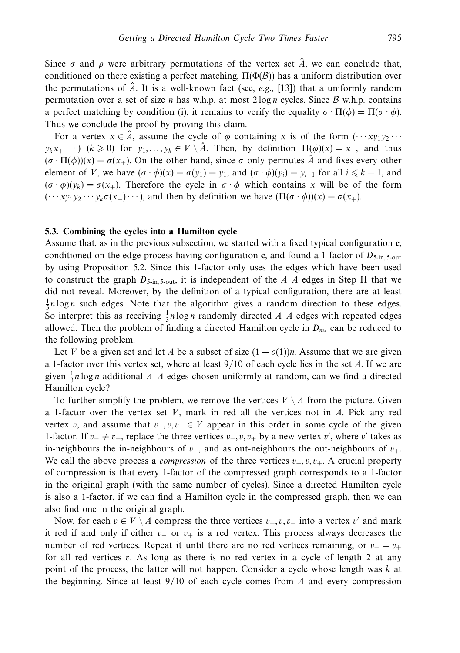Since  $\sigma$  and  $\rho$  were arbitrary permutations of the vertex set  $\hat{A}$ , we can conclude that, conditioned on there existing a perfect matching,  $\Pi(\Phi(\mathcal{B}))$  has a uniform distribution over the permutations of  $\hat{A}$ . It is a well-known fact (see, e.g., [13]) that a uniformly random permutation over a set of size *n* has w.h.p. at most 2 log *n* cycles. Since B w.h.p. contains a perfect matching by condition (i), it remains to verify the equality  $\sigma \cdot \Pi(\phi) = \Pi(\sigma \cdot \phi)$ . Thus we conclude the proof by proving this claim.

For a vertex  $x \in \hat{A}$ , assume the cycle of  $\phi$  containing *x* is of the form  $(\cdots xy_1y_2 \cdots$  $y_kx_+ \cdots$ )  $(k \geq 0)$  for  $y_1, \ldots, y_k \in V \setminus \hat{A}$ . Then, by definition  $\Pi(\phi)(x) = x_+$ , and thus  $(\sigma \cdot \Pi(\phi))(x) = \sigma(x_+)$ . On the other hand, since  $\sigma$  only permutes  $\hat{A}$  and fixes every other element of *V*, we have  $(\sigma \cdot \phi)(x) = \sigma(y_1) = y_1$ , and  $(\sigma \cdot \phi)(y_i) = y_{i+1}$  for all  $i \leq k - 1$ , and  $(\sigma \cdot \phi)(v_k) = \sigma(x_+)$ . Therefore the cycle in  $\sigma \cdot \phi$  which contains x will be of the form  $(\cdots x_{\nu_1}\nu_2\cdots\nu_k\sigma(x_+)\cdots)$ , and then by definition we have  $(\Pi(\sigma\cdot\phi))(x) = \sigma(x_+).$ П

# **5.3. Combining the cycles into a Hamilton cycle**

Assume that, as in the previous subsection, we started with a fixed typical configuration **c**, conditioned on the edge process having configuration **c**, and found a 1-factor of  $D_{5\text{-in}}$ ,  $5\text{-out}$ by using Proposition 5.2. Since this 1-factor only uses the edges which have been used to construct the graph  $D_{5\text{-in}, 5\text{-out}}$ , it is independent of the  $A-A$  edges in Step II that we did not reveal. Moreover, by the definition of a typical configuration, there are at least  $\frac{1}{3}$ n log *n* such edges. Note that the algorithm gives a random direction to these edges. So interpret this as receiving  $\frac{1}{3}n \log n$  randomly directed *A–A* edges with repeated edges allowed. Then the problem of finding a directed Hamilton cycle in  $D_{m_{\nu}}$  can be reduced to the following problem.

Let *V* be a given set and let *A* be a subset of size  $(1 - o(1))n$ . Assume that we are given a 1-factor over this vertex set, where at least 9*/*10 of each cycle lies in the set *A*. If we are given  $\frac{1}{3}n \log n$  additional *A*–*A* edges chosen uniformly at random, can we find a directed Hamilton cycle?

To further simplify the problem, we remove the vertices  $V \setminus A$  from the picture. Given a 1-factor over the vertex set *V*, mark in red all the vertices not in *A*. Pick any red vertex *v*, and assume that  $v_-, v, v_+ \in V$  appear in this order in some cycle of the given 1-factor. If  $v_+ \neq v_+$ , replace the three vertices  $v_-, v, v_+$  by a new vertex  $v'$ , where  $v'$  takes as in-neighbours the in-neighbours of *v*−, and as out-neighbours the out-neighbours of *v*+. We call the above process a *compression* of the three vertices  $v_-, v, v_+$ . A crucial property of compression is that every 1-factor of the compressed graph corresponds to a 1-factor in the original graph (with the same number of cycles). Since a directed Hamilton cycle is also a 1-factor, if we can find a Hamilton cycle in the compressed graph, then we can also find one in the original graph.

Now, for each  $v \in V \setminus A$  compress the three vertices  $v_-, v, v_+$  into a vertex  $v'$  and mark it red if and only if either *v*<sup>−</sup> or *v*<sup>+</sup> is a red vertex. This process always decreases the number of red vertices. Repeat it until there are no red vertices remaining, or  $v = v_+$ for all red vertices *v*. As long as there is no red vertex in a cycle of length 2 at any point of the process, the latter will not happen. Consider a cycle whose length was *k* at the beginning. Since at least 9/10 of each cycle comes from *A* and every compression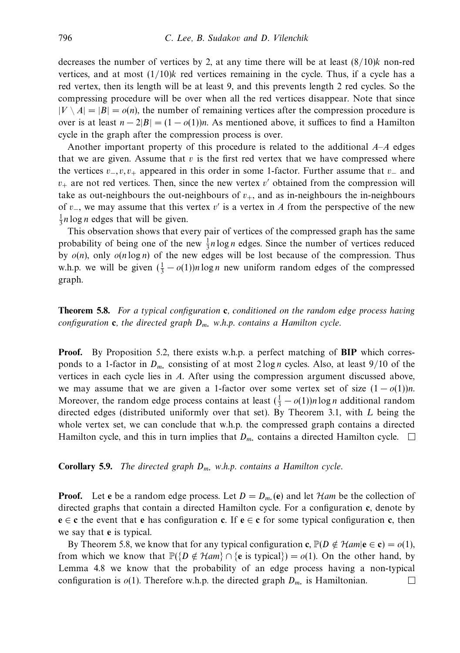decreases the number of vertices by 2, at any time there will be at least (8*/*10)*k* non-red vertices, and at most  $(1/10)$ *k* red vertices remaining in the cycle. Thus, if a cycle has a red vertex, then its length will be at least 9, and this prevents length 2 red cycles. So the compressing procedure will be over when all the red vertices disappear. Note that since  $|V \setminus A| = |B| = o(n)$ , the number of remaining vertices after the compression procedure is over is at least  $n - 2|B| = (1 - o(1))n$ . As mentioned above, it suffices to find a Hamilton cycle in the graph after the compression process is over.

Another important property of this procedure is related to the additional *A*–*A* edges that we are given. Assume that  $v$  is the first red vertex that we have compressed where the vertices *v*−*, v, v*<sup>+</sup> appeared in this order in some 1-factor. Further assume that *v*<sup>−</sup> and  $v_{+}$  are not red vertices. Then, since the new vertex  $v'$  obtained from the compression will take as out-neighbours the out-neighbours of  $v_{+}$ , and as in-neighbours the in-neighbours of *v*−, we may assume that this vertex *v*- is a vertex in *A* from the perspective of the new  $\frac{1}{3}$ *n* log *n* edges that will be given.

This observation shows that every pair of vertices of the compressed graph has the same probability of being one of the new  $\frac{1}{3}n \log n$  edges. Since the number of vertices reduced by *o*(*n*), only *o*(*n* log *n*) of the new edges will be lost because of the compression. Thus w.h.p. we will be given  $(\frac{1}{3} - o(1))n \log n$  new uniform random edges of the compressed graph.

**Theorem 5.8.** For a typical configuration **c**, conditioned on the random edge process having configuration **c**, the directed graph *Dm*<sup>∗</sup> w.h.p. contains a Hamilton cycle.

**Proof.** By Proposition 5.2, there exists w.h.p. a perfect matching of **BIP** which corresponds to a 1-factor in *Dm*<sup>∗</sup> consisting of at most 2 log *n* cycles. Also, at least 9*/*10 of the vertices in each cycle lies in *A*. After using the compression argument discussed above, we may assume that we are given a 1-factor over some vertex set of size  $(1 - o(1))n$ . Moreover, the random edge process contains at least  $(\frac{1}{3} - o(1))n \log n$  additional random directed edges (distributed uniformly over that set). By Theorem 3.1, with *L* being the whole vertex set, we can conclude that w.h.p. the compressed graph contains a directed Hamilton cycle, and this in turn implies that *D<sub>m∗</sub>* contains a directed Hamilton cycle. □

**Corollary 5.9.** The directed graph *Dm*<sup>∗</sup> w.h.p. contains a Hamilton cycle.

**Proof.** Let **e** be a random edge process. Let  $D = D_{m*}$  (**e**) and let Ham be the collection of directed graphs that contain a directed Hamilton cycle. For a configuration **c**, denote by **e** ∈ **c** the event that **e** has configuration **c**. If **e** ∈ **c** for some typical configuration **c**, then we say that **e** is typical.

By Theorem 5.8, we know that for any typical configuration **c**,  $\mathbb{P}(D \notin \mathcal{H}am | \mathbf{e} \in \mathbf{c}) = o(1)$ , from which we know that  $\mathbb{P}({D \notin Ham} \cap {\infty$  is typical $) = o(1)$ . On the other hand, by Lemma 4.8 we know that the probability of an edge process having a non-typical configuration is *o*(1). Therefore w.h.p. the directed graph *Dm*<sup>∗</sup> is Hamiltonian. $\Box$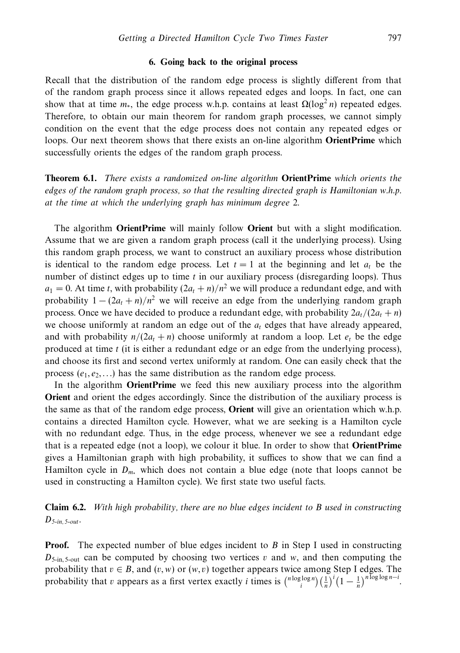# **6. Going back to the original process**

Recall that the distribution of the random edge process is slightly different from that of the random graph process since it allows repeated edges and loops. In fact, one can show that at time  $m<sub>∗</sub>$ , the edge process w.h.p. contains at least  $\Omega(\log^2 n)$  repeated edges. Therefore, to obtain our main theorem for random graph processes, we cannot simply condition on the event that the edge process does not contain any repeated edges or loops. Our next theorem shows that there exists an on-line algorithm **OrientPrime** which successfully orients the edges of the random graph process.

**Theorem 6.1.** There exists a randomized on-line algorithm **OrientPrime** which orients the edges of the random graph process, so that the resulting directed graph is Hamiltonian w.h.p. at the time at which the underlying graph has minimum degree 2.

The algorithm **OrientPrime** will mainly follow **Orient** but with a slight modification. Assume that we are given a random graph process (call it the underlying process). Using this random graph process, we want to construct an auxiliary process whose distribution is identical to the random edge process. Let  $t = 1$  at the beginning and let  $a_t$  be the number of distinct edges up to time *t* in our auxiliary process (disregarding loops). Thus  $a_1 = 0$ . At time *t*, with probability  $(2a_t + n)/n^2$  we will produce a redundant edge, and with probability  $1 - (2a_t + n)/n^2$  we will receive an edge from the underlying random graph process. Once we have decided to produce a redundant edge, with probability  $2a_t/(2a_t + n)$ we choose uniformly at random an edge out of the *at* edges that have already appeared, and with probability  $n/(2a_t + n)$  choose uniformly at random a loop. Let  $e_t$  be the edge produced at time *t* (it is either a redundant edge or an edge from the underlying process), and choose its first and second vertex uniformly at random. One can easily check that the process  $(e_1, e_2, \ldots)$  has the same distribution as the random edge process.

In the algorithm **OrientPrime** we feed this new auxiliary process into the algorithm **Orient** and orient the edges accordingly. Since the distribution of the auxiliary process is the same as that of the random edge process, **Orient** will give an orientation which w.h.p. contains a directed Hamilton cycle. However, what we are seeking is a Hamilton cycle with no redundant edge. Thus, in the edge process, whenever we see a redundant edge that is a repeated edge (not a loop), we colour it blue. In order to show that **OrientPrime** gives a Hamiltonian graph with high probability, it suffices to show that we can find a Hamilton cycle in  $D_{m*}$  which does not contain a blue edge (note that loops cannot be used in constructing a Hamilton cycle). We first state two useful facts.

# **Claim 6.2.** With high probability, there are no blue edges incident to *B* used in constructing  $D_{5\text{-}in, 5\text{-}out}.$

**Proof.** The expected number of blue edges incident to *B* in Step I used in constructing  $D_{5\text{-in}}$ ,  $S_{\text{-out}}$  can be computed by choosing two vertices *v* and *w*, and then computing the probability that  $v \in B$ , and  $(v, w)$  or  $(w, v)$  together appears twice among Step I edges. The probability that *v* appears as a first vertex exactly *i* times is  $\binom{n \log \log n}{i} \left(\frac{1}{n}\right)^i \left(1 - \frac{1}{n}\right)^{n \log \log n - i}$ .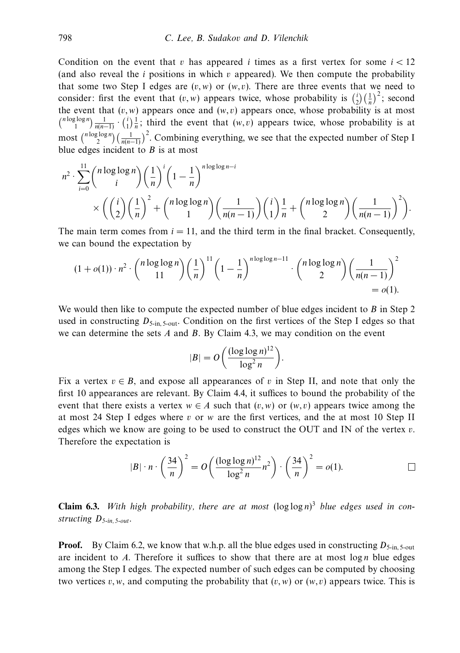Condition on the event that *v* has appeared *i* times as a first vertex for some  $i < 12$ (and also reveal the *i* positions in which *v* appeared). We then compute the probability that some two Step I edges are  $(v, w)$  or  $(w, v)$ . There are three events that we need to consider: first the event that  $(v, w)$  appears twice, whose probability is  $\binom{i}{2} \left(\frac{1}{n}\right)^2$ ; second the event that  $(v, w)$  appears once and  $(w, v)$  appears once, whose probability is at most  ${n \log \log n \choose 1} \frac{1}{n(n-1)} \cdot {i \choose 1} \frac{1}{n}$ ; third the event that  $(w, v)$  appears twice, whose probability is at most  $\binom{n \log \log n}{2} \left(\frac{1}{n(n-1)}\right)^2$ . Combining everything, we see that the expected number of Step I blue edges incident to *B* is at most

$$
n^{2} \cdot \sum_{i=0}^{11} {n \log \log n \choose i} \left(\frac{1}{n}\right)^{i} \left(1 - \frac{1}{n}\right)^{n \log \log n - i}
$$
  
\$\times \left(\binom{i}{2}\left(\frac{1}{n}\right)^{2} + {n \log \log n \choose 1} \left(\frac{1}{n(n-1)}\right)\binom{i}{1}\frac{1}{n} + {n \log \log n \choose 2} \left(\frac{1}{n(n-1)}\right)^{2}\right).

The main term comes from  $i = 11$ , and the third term in the final bracket. Consequently, we can bound the expectation by

$$
(1+o(1)) \cdot n^2 \cdot {n \log \log n \choose 11} \left(\frac{1}{n}\right)^{11} \left(1-\frac{1}{n}\right)^{n \log \log n - 11} \cdot {n \log \log n \choose 2} \left(\frac{1}{n(n-1)}\right)^2 = o(1).
$$

We would then like to compute the expected number of blue edges incident to *B* in Step 2 used in constructing  $D_{5\text{-in}}$ ,  $S_{\text{-out}}$ . Condition on the first vertices of the Step I edges so that we can determine the sets *A* and *B*. By Claim 4.3, we may condition on the event

$$
|B| = O\bigg(\frac{(\log\log n)^{12}}{\log^2 n}\bigg).
$$

Fix a vertex  $v \in B$ , and expose all appearances of v in Step II, and note that only the first 10 appearances are relevant. By Claim 4.4, it suffices to bound the probability of the event that there exists a vertex  $w \in A$  such that  $(v, w)$  or  $(w, v)$  appears twice among the at most 24 Step I edges where *v* or *w* are the first vertices, and the at most 10 Step II edges which we know are going to be used to construct the OUT and IN of the vertex *v*. Therefore the expectation is

$$
|B| \cdot n \cdot \left(\frac{34}{n}\right)^2 = O\left(\frac{(\log \log n)^{12}}{\log^2 n} n^2\right) \cdot \left(\frac{34}{n}\right)^2 = o(1).
$$

**Claim 6.3.** With high probability, there are at most  $(\log \log n)^3$  blue edges used in constructing *D*5-in, 5-out.

**Proof.** By Claim 6.2, we know that w.h.p. all the blue edges used in constructing  $D_{5-$ in,  $5$ -out are incident to  $A$ . Therefore it suffices to show that there are at most  $\log n$  blue edges among the Step I edges. The expected number of such edges can be computed by choosing two vertices  $v, w$ , and computing the probability that  $(v, w)$  or  $(w, v)$  appears twice. This is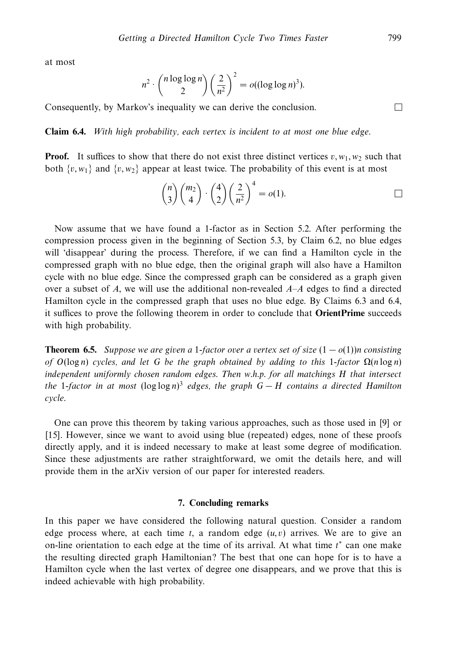at most

$$
n^2 \cdot {n \log \log n \choose 2} \left(\frac{2}{n^2}\right)^2 = o((\log \log n)^3).
$$

Consequently, by Markov's inequality we can derive the conclusion.

**Claim 6.4.** With high probability, each vertex is incident to at most one blue edge.

**Proof.** It suffices to show that there do not exist three distinct vertices  $v, w_1, w_2$  such that both  $\{v, w_1\}$  and  $\{v, w_2\}$  appear at least twice. The probability of this event is at most

$$
\binom{n}{3}\binom{m_2}{4}\cdot\binom{4}{2}\left(\frac{2}{n^2}\right)^4 = o(1).
$$

Now assume that we have found a 1-factor as in Section 5.2. After performing the compression process given in the beginning of Section 5.3, by Claim 6.2, no blue edges will 'disappear' during the process. Therefore, if we can find a Hamilton cycle in the compressed graph with no blue edge, then the original graph will also have a Hamilton cycle with no blue edge. Since the compressed graph can be considered as a graph given over a subset of *A*, we will use the additional non-revealed *A*–*A* edges to find a directed Hamilton cycle in the compressed graph that uses no blue edge. By Claims 6.3 and 6.4, it suffices to prove the following theorem in order to conclude that **OrientPrime** succeeds with high probability.

**Theorem 6.5.** Suppose we are given a 1-factor over a vertex set of size  $(1 - o(1))n$  consisting of  $O(log n)$  cycles, and let G be the graph obtained by adding to this 1-factor  $\Omega(n \log n)$ independent uniformly chosen random edges. Then w.h.p. for all matchings *H* that intersect the 1-factor in at most (log log *n*) <sup>3</sup> edges, the graph *G* − *H* contains a directed Hamilton cycle.

One can prove this theorem by taking various approaches, such as those used in [9] or [15]. However, since we want to avoid using blue (repeated) edges, none of these proofs directly apply, and it is indeed necessary to make at least some degree of modification. Since these adjustments are rather straightforward, we omit the details here, and will provide them in the arXiv version of our paper for interested readers.

## **7. Concluding remarks**

In this paper we have considered the following natural question. Consider a random edge process where, at each time  $t$ , a random edge  $(u, v)$  arrives. We are to give an on-line orientation to each edge at the time of its arrival. At what time *t* <sup>∗</sup> can one make the resulting directed graph Hamiltonian? The best that one can hope for is to have a Hamilton cycle when the last vertex of degree one disappears, and we prove that this is indeed achievable with high probability.

 $\Box$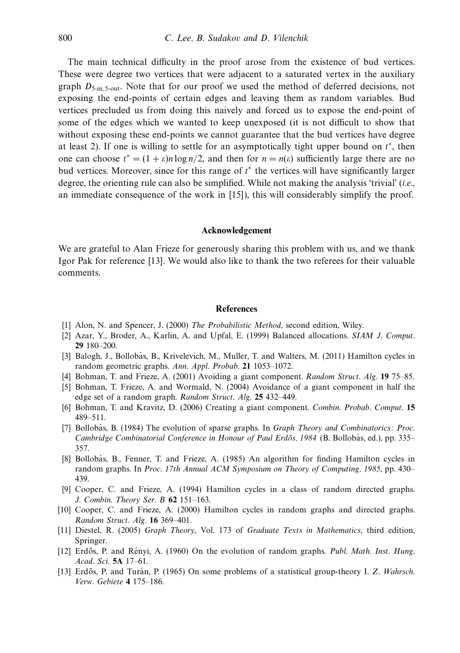The main technical difficulty in the proof arose from the existence of bud vertices. These were degree two vertices that were adjacent to a saturated vertex in the auxiliary graph  $D_{5\text{-in}}$ ,  $S_{\text{-out}}$ . Note that for our proof we used the method of deferred decisions, not exposing the end-points of certain edges and leaving them as random variables. Bud vertices precluded us from doing this naively and forced us to expose the end-point of some of the edges which we wanted to keep unexposed (it is not difficult to show that without exposing these end-points we cannot guarantee that the bud vertices have degree at least 2). If one is willing to settle for an asymptotically tight upper bound on *t* <sup>∗</sup>, then one can choose  $t^* = (1 + \varepsilon)n \log n/2$ , and then for  $n = n(\varepsilon)$  sufficiently large there are no bud vertices. Moreover, since for this range of *t* <sup>∗</sup> the vertices will have significantly larger degree, the orienting rule can also be simplified. While not making the analysis 'trivial' (i.e., an immediate consequence of the work in [15]), this will considerably simplify the proof.

#### **Acknowledgement**

We are grateful to Alan Frieze for generously sharing this problem with us, and we thank Igor Pak for reference [13]. We would also like to thank the two referees for their valuable comments.

#### **References**

- [1] Alon, N. and Spencer, J. (2000) The Probabilistic Method, second edition, Wiley.
- [2] Azar, Y., Broder, A., Karlin, A. and Upfal, E. (1999) Balanced allocations. SIAM J. Comput. **29** 180–200.
- [3] Balogh, J., Bollobás, B., Krivelevich, M., Muller, T. and Walters, M. (2011) Hamilton cycles in random geometric graphs. Ann. Appl. Probab. **21** 1053–1072.
- [4] Bohman, T. and Frieze, A. (2001) Avoiding a giant component. Random Struct. Alg. **19** 75–85.
- [5] Bohman, T. Frieze, A. and Wormald, N. (2004) Avoidance of a giant component in half the edge set of a random graph. Random Struct. Alg. **25** 432–449.
- [6] Bohman, T. and Kravitz, D. (2006) Creating a giant component. Combin. Probab. Comput. **15** 489–511.
- [7] Bollobás, B. (1984) The evolution of sparse graphs. In *Graph Theory and Combinatorics: Proc.* Cambridge Combinatorial Conference in Honour of Paul Erdős, 1984 (B. Bollobás, ed.), pp. 335– 357.
- [8] Bollobás, B., Fenner, T. and Frieze, A. (1985) An algorithm for finding Hamilton cycles in random graphs. In Proc. 17th Annual ACM Symposium on Theory of Computing, 1985, pp. 430– 439.
- [9] Cooper, C. and Frieze, A. (1994) Hamilton cycles in a class of random directed graphs. J. Combin. Theory Ser. B **62** 151–163.
- [10] Cooper, C. and Frieze, A. (2000) Hamilton cycles in random graphs and directed graphs. Random Struct. Alg. **16** 369–401.
- [11] Diestel, R. (2005) Graph Theory, Vol. 173 of Graduate Texts in Mathematics, third edition, Springer.
- [12] Erdős, P. and Rényi, A. (1960) On the evolution of random graphs. *Publ. Math. Inst. Hung.* Acad. Sci. **5A** 17–61.
- [13] Erdős, P. and Turán, P. (1965) On some problems of a statistical group-theory I. Z. Wahrsch. Verw. Gebiete **4** 175–186.